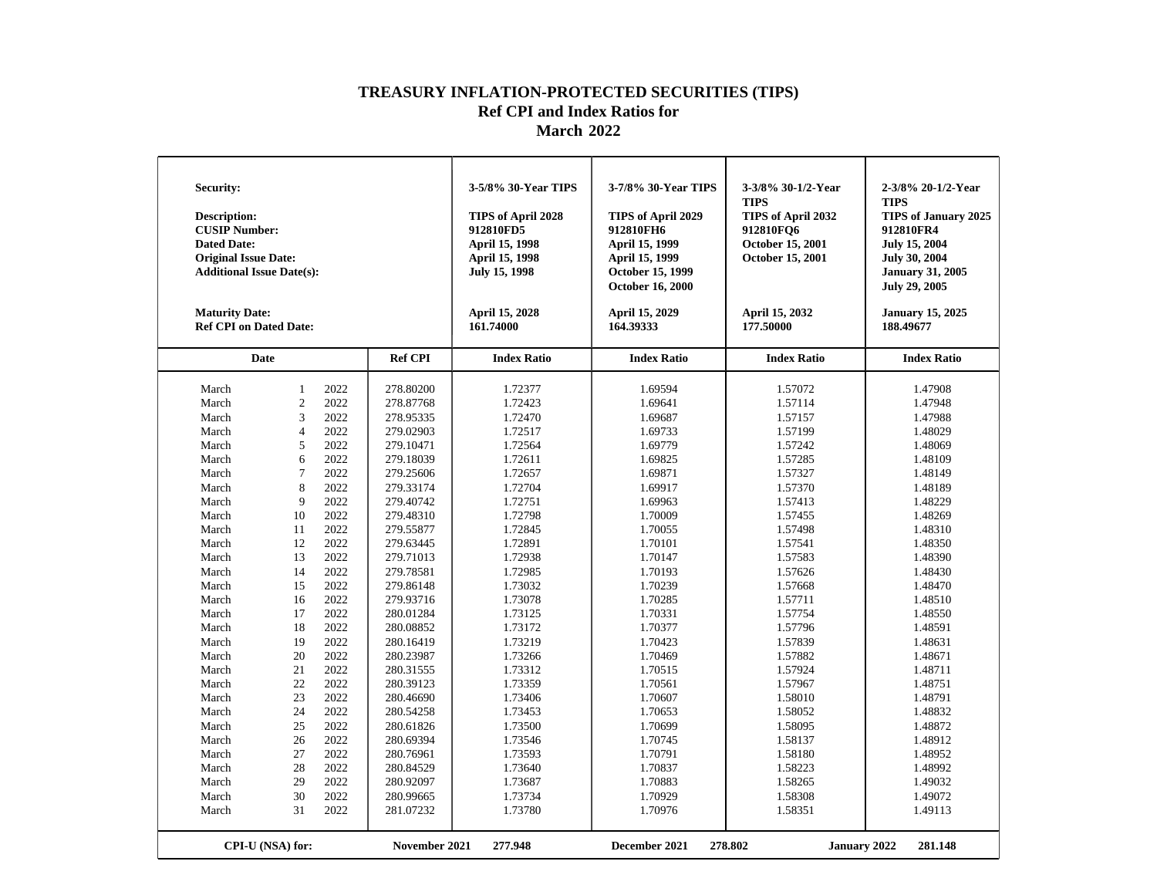| Security:<br><b>Description:</b><br><b>CUSIP Number:</b><br><b>Dated Date:</b><br><b>Original Issue Date:</b><br><b>Additional Issue Date(s):</b><br><b>Maturity Date:</b><br><b>Ref CPI on Dated Date:</b> |                  |      |                | 3-5/8% 30-Year TIPS<br>TIPS of April 2028<br>912810FD5<br>April 15, 1998<br><b>April 15, 1998</b><br>July 15, 1998<br>April 15, 2028<br>161.74000 | 3-7/8% 30-Year TIPS<br>TIPS of April 2029<br>912810FH6<br><b>April 15, 1999</b><br><b>April 15, 1999</b><br>October 15, 1999<br><b>October 16, 2000</b><br>April 15, 2029<br>164.39333 | 3-3/8% 30-1/2-Year<br><b>TIPS</b><br>TIPS of April 2032<br>912810FQ6<br>October 15, 2001<br>October 15, 2001<br>April 15, 2032<br>177.50000 | 2-3/8% 20-1/2-Year<br><b>TIPS</b><br><b>TIPS of January 2025</b><br>912810FR4<br><b>July 15, 2004</b><br><b>July 30, 2004</b><br><b>January 31, 2005</b><br><b>July 29, 2005</b><br><b>January 15, 2025</b><br>188.49677 |
|-------------------------------------------------------------------------------------------------------------------------------------------------------------------------------------------------------------|------------------|------|----------------|---------------------------------------------------------------------------------------------------------------------------------------------------|----------------------------------------------------------------------------------------------------------------------------------------------------------------------------------------|---------------------------------------------------------------------------------------------------------------------------------------------|--------------------------------------------------------------------------------------------------------------------------------------------------------------------------------------------------------------------------|
| Date                                                                                                                                                                                                        |                  |      | <b>Ref CPI</b> | <b>Index Ratio</b>                                                                                                                                | <b>Index Ratio</b>                                                                                                                                                                     | <b>Index Ratio</b>                                                                                                                          | <b>Index Ratio</b>                                                                                                                                                                                                       |
| March                                                                                                                                                                                                       | $\mathbf{1}$     | 2022 | 278.80200      | 1.72377                                                                                                                                           | 1.69594                                                                                                                                                                                | 1.57072                                                                                                                                     | 1.47908                                                                                                                                                                                                                  |
| March                                                                                                                                                                                                       | $\overline{2}$   | 2022 | 278.87768      | 1.72423                                                                                                                                           | 1.69641                                                                                                                                                                                | 1.57114                                                                                                                                     | 1.47948                                                                                                                                                                                                                  |
| March                                                                                                                                                                                                       | 3                | 2022 | 278.95335      | 1.72470                                                                                                                                           | 1.69687                                                                                                                                                                                | 1.57157                                                                                                                                     | 1.47988                                                                                                                                                                                                                  |
| March                                                                                                                                                                                                       | $\overline{4}$   | 2022 | 279.02903      | 1.72517                                                                                                                                           | 1.69733                                                                                                                                                                                | 1.57199                                                                                                                                     | 1.48029                                                                                                                                                                                                                  |
| March                                                                                                                                                                                                       | 5                | 2022 | 279.10471      | 1.72564                                                                                                                                           | 1.69779                                                                                                                                                                                | 1.57242                                                                                                                                     | 1.48069                                                                                                                                                                                                                  |
| March                                                                                                                                                                                                       | 6                | 2022 | 279.18039      | 1.72611                                                                                                                                           | 1.69825                                                                                                                                                                                | 1.57285                                                                                                                                     | 1.48109                                                                                                                                                                                                                  |
| March                                                                                                                                                                                                       | 7                | 2022 | 279.25606      | 1.72657                                                                                                                                           | 1.69871                                                                                                                                                                                | 1.57327                                                                                                                                     | 1.48149                                                                                                                                                                                                                  |
| March                                                                                                                                                                                                       | 8                | 2022 | 279.33174      | 1.72704                                                                                                                                           | 1.69917                                                                                                                                                                                | 1.57370                                                                                                                                     | 1.48189                                                                                                                                                                                                                  |
| March                                                                                                                                                                                                       | $\mathbf{Q}$     | 2022 | 279.40742      | 1.72751                                                                                                                                           | 1.69963                                                                                                                                                                                | 1.57413                                                                                                                                     | 1.48229                                                                                                                                                                                                                  |
| March                                                                                                                                                                                                       | 10               | 2022 | 279.48310      | 1.72798                                                                                                                                           | 1.70009                                                                                                                                                                                | 1.57455                                                                                                                                     | 1.48269                                                                                                                                                                                                                  |
| March                                                                                                                                                                                                       | 11               | 2022 | 279.55877      | 1.72845                                                                                                                                           | 1.70055                                                                                                                                                                                | 1.57498                                                                                                                                     | 1.48310                                                                                                                                                                                                                  |
| March                                                                                                                                                                                                       | 12               | 2022 | 279.63445      | 1.72891                                                                                                                                           | 1.70101                                                                                                                                                                                | 1.57541                                                                                                                                     | 1.48350                                                                                                                                                                                                                  |
| March                                                                                                                                                                                                       | 13               | 2022 | 279.71013      | 1.72938                                                                                                                                           | 1.70147                                                                                                                                                                                | 1.57583                                                                                                                                     | 1.48390                                                                                                                                                                                                                  |
| March                                                                                                                                                                                                       | 14               | 2022 | 279.78581      | 1.72985                                                                                                                                           | 1.70193                                                                                                                                                                                | 1.57626                                                                                                                                     | 1.48430                                                                                                                                                                                                                  |
| March                                                                                                                                                                                                       | 15               | 2022 | 279.86148      | 1.73032                                                                                                                                           | 1.70239                                                                                                                                                                                | 1.57668                                                                                                                                     | 1.48470                                                                                                                                                                                                                  |
| March                                                                                                                                                                                                       | 16               | 2022 | 279.93716      | 1.73078                                                                                                                                           | 1.70285                                                                                                                                                                                | 1.57711                                                                                                                                     | 1.48510                                                                                                                                                                                                                  |
| March                                                                                                                                                                                                       | 17               | 2022 | 280.01284      | 1.73125                                                                                                                                           | 1.70331                                                                                                                                                                                | 1.57754                                                                                                                                     | 1.48550                                                                                                                                                                                                                  |
| March                                                                                                                                                                                                       | 18               | 2022 | 280.08852      | 1.73172                                                                                                                                           | 1.70377                                                                                                                                                                                | 1.57796                                                                                                                                     | 1.48591                                                                                                                                                                                                                  |
| March                                                                                                                                                                                                       | 19               | 2022 | 280.16419      | 1.73219                                                                                                                                           | 1.70423                                                                                                                                                                                | 1.57839                                                                                                                                     | 1.48631                                                                                                                                                                                                                  |
| March                                                                                                                                                                                                       | 20               | 2022 | 280.23987      | 1.73266                                                                                                                                           | 1.70469                                                                                                                                                                                | 1.57882                                                                                                                                     | 1.48671                                                                                                                                                                                                                  |
| March                                                                                                                                                                                                       | 21               | 2022 | 280.31555      | 1.73312                                                                                                                                           | 1.70515                                                                                                                                                                                | 1.57924                                                                                                                                     | 1.48711                                                                                                                                                                                                                  |
| March                                                                                                                                                                                                       | 22               | 2022 | 280.39123      | 1.73359                                                                                                                                           | 1.70561                                                                                                                                                                                | 1.57967                                                                                                                                     | 1.48751                                                                                                                                                                                                                  |
| March                                                                                                                                                                                                       | 23               | 2022 | 280.46690      | 1.73406                                                                                                                                           | 1.70607                                                                                                                                                                                | 1.58010                                                                                                                                     | 1.48791                                                                                                                                                                                                                  |
| March                                                                                                                                                                                                       | 24               | 2022 | 280.54258      | 1.73453                                                                                                                                           | 1.70653                                                                                                                                                                                | 1.58052                                                                                                                                     | 1.48832                                                                                                                                                                                                                  |
| March                                                                                                                                                                                                       | 25               | 2022 | 280.61826      | 1.73500                                                                                                                                           | 1.70699                                                                                                                                                                                | 1.58095                                                                                                                                     | 1.48872                                                                                                                                                                                                                  |
| March                                                                                                                                                                                                       | 26               | 2022 | 280.69394      | 1.73546                                                                                                                                           | 1.70745                                                                                                                                                                                | 1.58137                                                                                                                                     | 1.48912                                                                                                                                                                                                                  |
| March                                                                                                                                                                                                       | 27               | 2022 | 280.76961      | 1.73593                                                                                                                                           | 1.70791                                                                                                                                                                                | 1.58180                                                                                                                                     | 1.48952                                                                                                                                                                                                                  |
| March                                                                                                                                                                                                       | 28               | 2022 | 280.84529      | 1.73640                                                                                                                                           | 1.70837                                                                                                                                                                                | 1.58223                                                                                                                                     | 1.48992                                                                                                                                                                                                                  |
| March                                                                                                                                                                                                       | 29               | 2022 | 280.92097      | 1.73687                                                                                                                                           | 1.70883                                                                                                                                                                                | 1.58265                                                                                                                                     | 1.49032                                                                                                                                                                                                                  |
| March                                                                                                                                                                                                       | 30               | 2022 | 280.99665      | 1.73734                                                                                                                                           | 1.70929                                                                                                                                                                                | 1.58308                                                                                                                                     | 1.49072                                                                                                                                                                                                                  |
| March                                                                                                                                                                                                       | 31               | 2022 | 281.07232      | 1.73780                                                                                                                                           | 1.70976                                                                                                                                                                                | 1.58351                                                                                                                                     | 1.49113                                                                                                                                                                                                                  |
|                                                                                                                                                                                                             | CPI-U (NSA) for: |      | November 2021  | 277.948                                                                                                                                           | December 2021                                                                                                                                                                          | 278.802<br>January 2022                                                                                                                     | 281.148                                                                                                                                                                                                                  |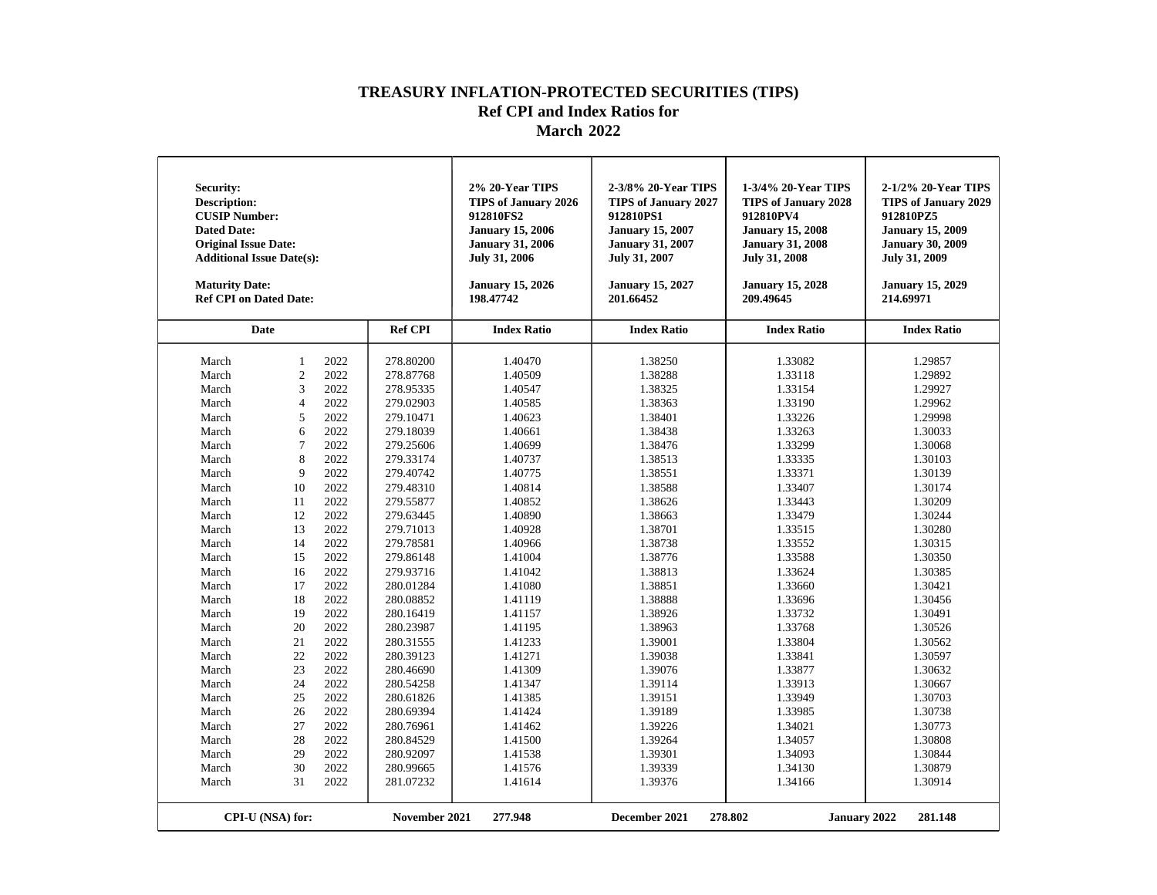| <b>Security:</b><br>Description:<br><b>CUSIP Number:</b><br><b>Dated Date:</b><br><b>Original Issue Date:</b><br><b>Additional Issue Date(s):</b><br><b>Maturity Date:</b><br><b>Ref CPI on Dated Date:</b>                                                                |                                                                                                                                                                                                                           |                                                                                                                                                                                                                                              |                                                                                                                                                                                                                                                                                                                                                                                                    | 2% 20-Year TIPS<br><b>TIPS of January 2026</b><br>912810FS2<br><b>January 15, 2006</b><br><b>January 31, 2006</b><br><b>July 31, 2006</b><br><b>January 15, 2026</b><br>198.47742                                                                                                                                                      | 2-3/8% 20-Year TIPS<br><b>TIPS of January 2027</b><br>912810PS1<br><b>January 15, 2007</b><br><b>January 31, 2007</b><br>July 31, 2007<br><b>January 15, 2027</b><br>201.66452                                                                                                                                                         | 1-3/4% 20-Year TIPS<br><b>TIPS of January 2028</b><br>912810PV4<br><b>January 15, 2008</b><br><b>January 31, 2008</b><br><b>July 31, 2008</b><br><b>January 15, 2028</b><br>209.49645                                                                                                                                                  | 2-1/2% 20-Year TIPS<br><b>TIPS of January 2029</b><br>912810PZ5<br><b>January 15, 2009</b><br><b>January 30, 2009</b><br><b>July 31, 2009</b><br><b>January 15, 2029</b><br>214.69971                                                                                                                                                  |
|----------------------------------------------------------------------------------------------------------------------------------------------------------------------------------------------------------------------------------------------------------------------------|---------------------------------------------------------------------------------------------------------------------------------------------------------------------------------------------------------------------------|----------------------------------------------------------------------------------------------------------------------------------------------------------------------------------------------------------------------------------------------|----------------------------------------------------------------------------------------------------------------------------------------------------------------------------------------------------------------------------------------------------------------------------------------------------------------------------------------------------------------------------------------------------|----------------------------------------------------------------------------------------------------------------------------------------------------------------------------------------------------------------------------------------------------------------------------------------------------------------------------------------|----------------------------------------------------------------------------------------------------------------------------------------------------------------------------------------------------------------------------------------------------------------------------------------------------------------------------------------|----------------------------------------------------------------------------------------------------------------------------------------------------------------------------------------------------------------------------------------------------------------------------------------------------------------------------------------|----------------------------------------------------------------------------------------------------------------------------------------------------------------------------------------------------------------------------------------------------------------------------------------------------------------------------------------|
| Date                                                                                                                                                                                                                                                                       |                                                                                                                                                                                                                           |                                                                                                                                                                                                                                              | <b>Ref CPI</b>                                                                                                                                                                                                                                                                                                                                                                                     | <b>Index Ratio</b>                                                                                                                                                                                                                                                                                                                     | <b>Index Ratio</b>                                                                                                                                                                                                                                                                                                                     | <b>Index Ratio</b>                                                                                                                                                                                                                                                                                                                     | <b>Index Ratio</b>                                                                                                                                                                                                                                                                                                                     |
| March<br>March<br>March<br>March<br>March<br>March<br>March<br>March<br>March<br>March<br>March<br>March<br>March<br>March<br>March<br>March<br>March<br>March<br>March<br>March<br>March<br>March<br>March<br>March<br>March<br>March<br>March<br>March<br>March<br>March | $\mathbf{1}$<br>$\overline{2}$<br>3<br>$\overline{4}$<br>5<br>6<br>$\overline{7}$<br>8<br>9<br>10<br>11<br>12<br>13<br>14<br>15<br>16<br>17<br>18<br>19<br>20<br>21<br>22<br>23<br>24<br>25<br>26<br>27<br>28<br>29<br>30 | 2022<br>2022<br>2022<br>2022<br>2022<br>2022<br>2022<br>2022<br>2022<br>2022<br>2022<br>2022<br>2022<br>2022<br>2022<br>2022<br>2022<br>2022<br>2022<br>2022<br>2022<br>2022<br>2022<br>2022<br>2022<br>2022<br>2022<br>2022<br>2022<br>2022 | 278.80200<br>278.87768<br>278.95335<br>279.02903<br>279.10471<br>279.18039<br>279.25606<br>279.33174<br>279.40742<br>279.48310<br>279.55877<br>279.63445<br>279.71013<br>279.78581<br>279.86148<br>279.93716<br>280.01284<br>280.08852<br>280.16419<br>280.23987<br>280.31555<br>280.39123<br>280.46690<br>280.54258<br>280.61826<br>280.69394<br>280.76961<br>280.84529<br>280.92097<br>280.99665 | 1.40470<br>1.40509<br>1.40547<br>1.40585<br>1.40623<br>1.40661<br>1.40699<br>1.40737<br>1.40775<br>1.40814<br>1.40852<br>1.40890<br>1.40928<br>1.40966<br>1.41004<br>1.41042<br>1.41080<br>1.41119<br>1.41157<br>1.41195<br>1.41233<br>1.41271<br>1.41309<br>1.41347<br>1.41385<br>1.41424<br>1.41462<br>1.41500<br>1.41538<br>1.41576 | 1.38250<br>1.38288<br>1.38325<br>1.38363<br>1.38401<br>1.38438<br>1.38476<br>1.38513<br>1.38551<br>1.38588<br>1.38626<br>1.38663<br>1.38701<br>1.38738<br>1.38776<br>1.38813<br>1.38851<br>1.38888<br>1.38926<br>1.38963<br>1.39001<br>1.39038<br>1.39076<br>1.39114<br>1.39151<br>1.39189<br>1.39226<br>1.39264<br>1.39301<br>1.39339 | 1.33082<br>1.33118<br>1.33154<br>1.33190<br>1.33226<br>1.33263<br>1.33299<br>1.33335<br>1.33371<br>1.33407<br>1.33443<br>1.33479<br>1.33515<br>1.33552<br>1.33588<br>1.33624<br>1.33660<br>1.33696<br>1.33732<br>1.33768<br>1.33804<br>1.33841<br>1.33877<br>1.33913<br>1.33949<br>1.33985<br>1.34021<br>1.34057<br>1.34093<br>1.34130 | 1.29857<br>1.29892<br>1.29927<br>1.29962<br>1.29998<br>1.30033<br>1.30068<br>1.30103<br>1.30139<br>1.30174<br>1.30209<br>1.30244<br>1.30280<br>1.30315<br>1.30350<br>1.30385<br>1.30421<br>1.30456<br>1.30491<br>1.30526<br>1.30562<br>1.30597<br>1.30632<br>1.30667<br>1.30703<br>1.30738<br>1.30773<br>1.30808<br>1.30844<br>1.30879 |
| March<br>CPI-U (NSA) for:                                                                                                                                                                                                                                                  | 31                                                                                                                                                                                                                        | 2022                                                                                                                                                                                                                                         | 281.07232<br>November 2021                                                                                                                                                                                                                                                                                                                                                                         | 1.41614<br>277.948                                                                                                                                                                                                                                                                                                                     | 1.39376<br>December 2021                                                                                                                                                                                                                                                                                                               | 1.34166<br>278.802<br><b>January 2022</b>                                                                                                                                                                                                                                                                                              | 1.30914<br>281.148                                                                                                                                                                                                                                                                                                                     |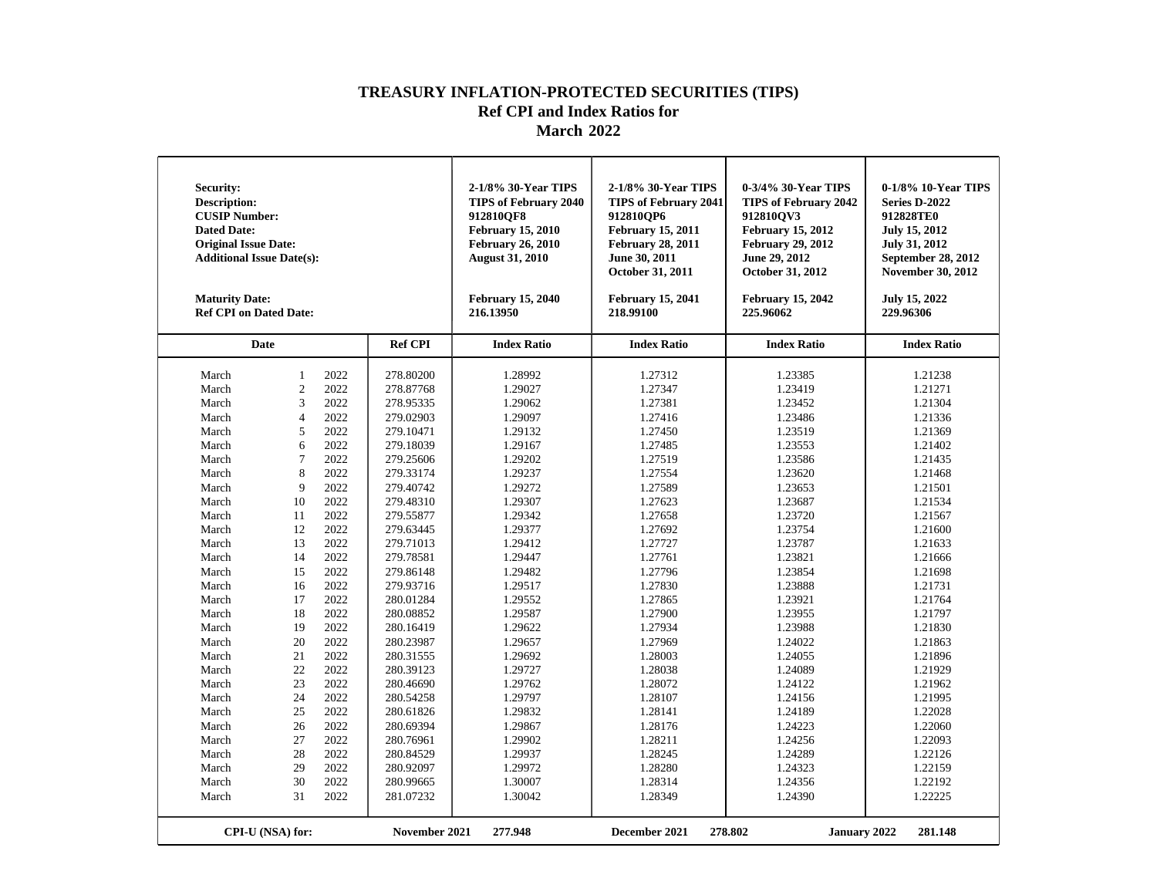| Security:<br><b>Description:</b><br><b>CUSIP Number:</b><br><b>Dated Date:</b><br><b>Original Issue Date:</b><br><b>Additional Issue Date(s):</b><br><b>Maturity Date:</b><br><b>Ref CPI on Dated Date:</b>                                                                         |                                                                                                                                                                                                                                 |                                                                                                                                                                                                                                                      |                                                                                                                                                                                                                                                                                                                                                                                                                 | 2-1/8% 30-Year TIPS<br><b>TIPS of February 2040</b><br>912810OF8<br><b>February 15, 2010</b><br><b>February 26, 2010</b><br><b>August 31, 2010</b><br><b>February 15, 2040</b><br>216.13950                                                                                                                                                       | 2-1/8% 30-Year TIPS<br><b>TIPS of February 2041</b><br>912810OP6<br><b>February 15, 2011</b><br><b>February 28, 2011</b><br>June 30, 2011<br>October 31, 2011<br><b>February 15, 2041</b><br>218.99100                                                                                                                                            | 0-3/4% 30-Year TIPS<br><b>TIPS of February 2042</b><br>912810OV3<br><b>February 15, 2012</b><br><b>February 29, 2012</b><br>June 29, 2012<br>October 31, 2012<br><b>February 15, 2042</b><br>225.96062                                                                                                                                            | 0-1/8% 10-Year TIPS<br>Series D-2022<br>912828TE0<br><b>July 15, 2012</b><br>July 31, 2012<br>September 28, 2012<br><b>November 30, 2012</b><br>July 15, 2022<br>229.96306                                                                                                                                                                        |
|-------------------------------------------------------------------------------------------------------------------------------------------------------------------------------------------------------------------------------------------------------------------------------------|---------------------------------------------------------------------------------------------------------------------------------------------------------------------------------------------------------------------------------|------------------------------------------------------------------------------------------------------------------------------------------------------------------------------------------------------------------------------------------------------|-----------------------------------------------------------------------------------------------------------------------------------------------------------------------------------------------------------------------------------------------------------------------------------------------------------------------------------------------------------------------------------------------------------------|---------------------------------------------------------------------------------------------------------------------------------------------------------------------------------------------------------------------------------------------------------------------------------------------------------------------------------------------------|---------------------------------------------------------------------------------------------------------------------------------------------------------------------------------------------------------------------------------------------------------------------------------------------------------------------------------------------------|---------------------------------------------------------------------------------------------------------------------------------------------------------------------------------------------------------------------------------------------------------------------------------------------------------------------------------------------------|---------------------------------------------------------------------------------------------------------------------------------------------------------------------------------------------------------------------------------------------------------------------------------------------------------------------------------------------------|
| Date                                                                                                                                                                                                                                                                                |                                                                                                                                                                                                                                 |                                                                                                                                                                                                                                                      | <b>Ref CPI</b>                                                                                                                                                                                                                                                                                                                                                                                                  | <b>Index Ratio</b>                                                                                                                                                                                                                                                                                                                                | <b>Index Ratio</b>                                                                                                                                                                                                                                                                                                                                | <b>Index Ratio</b>                                                                                                                                                                                                                                                                                                                                | <b>Index Ratio</b>                                                                                                                                                                                                                                                                                                                                |
| March<br>March<br>March<br>March<br>March<br>March<br>March<br>March<br>March<br>March<br>March<br>March<br>March<br>March<br>March<br>March<br>March<br>March<br>March<br>March<br>March<br>March<br>March<br>March<br>March<br>March<br>March<br>March<br>March<br>March<br>March | $\mathbf{1}$<br>$\overline{2}$<br>3<br>$\overline{4}$<br>5<br>6<br>$\overline{7}$<br>8<br>9<br>10<br>11<br>12<br>13<br>14<br>15<br>16<br>17<br>18<br>19<br>20<br>21<br>22<br>23<br>24<br>25<br>26<br>27<br>28<br>29<br>30<br>31 | 2022<br>2022<br>2022<br>2022<br>2022<br>2022<br>2022<br>2022<br>2022<br>2022<br>2022<br>2022<br>2022<br>2022<br>2022<br>2022<br>2022<br>2022<br>2022<br>2022<br>2022<br>2022<br>2022<br>2022<br>2022<br>2022<br>2022<br>2022<br>2022<br>2022<br>2022 | 278.80200<br>278.87768<br>278.95335<br>279.02903<br>279.10471<br>279.18039<br>279.25606<br>279.33174<br>279.40742<br>279.48310<br>279.55877<br>279.63445<br>279.71013<br>279.78581<br>279.86148<br>279.93716<br>280.01284<br>280.08852<br>280.16419<br>280.23987<br>280.31555<br>280.39123<br>280.46690<br>280.54258<br>280.61826<br>280.69394<br>280.76961<br>280.84529<br>280.92097<br>280.99665<br>281.07232 | 1.28992<br>1.29027<br>1.29062<br>1.29097<br>1.29132<br>1.29167<br>1.29202<br>1.29237<br>1.29272<br>1.29307<br>1.29342<br>1.29377<br>1.29412<br>1.29447<br>1.29482<br>1.29517<br>1.29552<br>1.29587<br>1.29622<br>1.29657<br>1.29692<br>1.29727<br>1.29762<br>1.29797<br>1.29832<br>1.29867<br>1.29902<br>1.29937<br>1.29972<br>1.30007<br>1.30042 | 1.27312<br>1.27347<br>1.27381<br>1.27416<br>1.27450<br>1.27485<br>1.27519<br>1.27554<br>1.27589<br>1.27623<br>1.27658<br>1.27692<br>1.27727<br>1.27761<br>1.27796<br>1.27830<br>1.27865<br>1.27900<br>1.27934<br>1.27969<br>1.28003<br>1.28038<br>1.28072<br>1.28107<br>1.28141<br>1.28176<br>1.28211<br>1.28245<br>1.28280<br>1.28314<br>1.28349 | 1.23385<br>1.23419<br>1.23452<br>1.23486<br>1.23519<br>1.23553<br>1.23586<br>1.23620<br>1.23653<br>1.23687<br>1.23720<br>1.23754<br>1.23787<br>1.23821<br>1.23854<br>1.23888<br>1.23921<br>1.23955<br>1.23988<br>1.24022<br>1.24055<br>1.24089<br>1.24122<br>1.24156<br>1.24189<br>1.24223<br>1.24256<br>1.24289<br>1.24323<br>1.24356<br>1.24390 | 1.21238<br>1.21271<br>1.21304<br>1.21336<br>1.21369<br>1.21402<br>1.21435<br>1.21468<br>1.21501<br>1.21534<br>1.21567<br>1.21600<br>1.21633<br>1.21666<br>1.21698<br>1.21731<br>1.21764<br>1.21797<br>1.21830<br>1.21863<br>1.21896<br>1.21929<br>1.21962<br>1.21995<br>1.22028<br>1.22060<br>1.22093<br>1.22126<br>1.22159<br>1.22192<br>1.22225 |
|                                                                                                                                                                                                                                                                                     | CPI-U (NSA) for:                                                                                                                                                                                                                |                                                                                                                                                                                                                                                      | November 2021                                                                                                                                                                                                                                                                                                                                                                                                   | 277.948                                                                                                                                                                                                                                                                                                                                           | December 2021                                                                                                                                                                                                                                                                                                                                     | 278.802<br><b>January 2022</b>                                                                                                                                                                                                                                                                                                                    | 281.148                                                                                                                                                                                                                                                                                                                                           |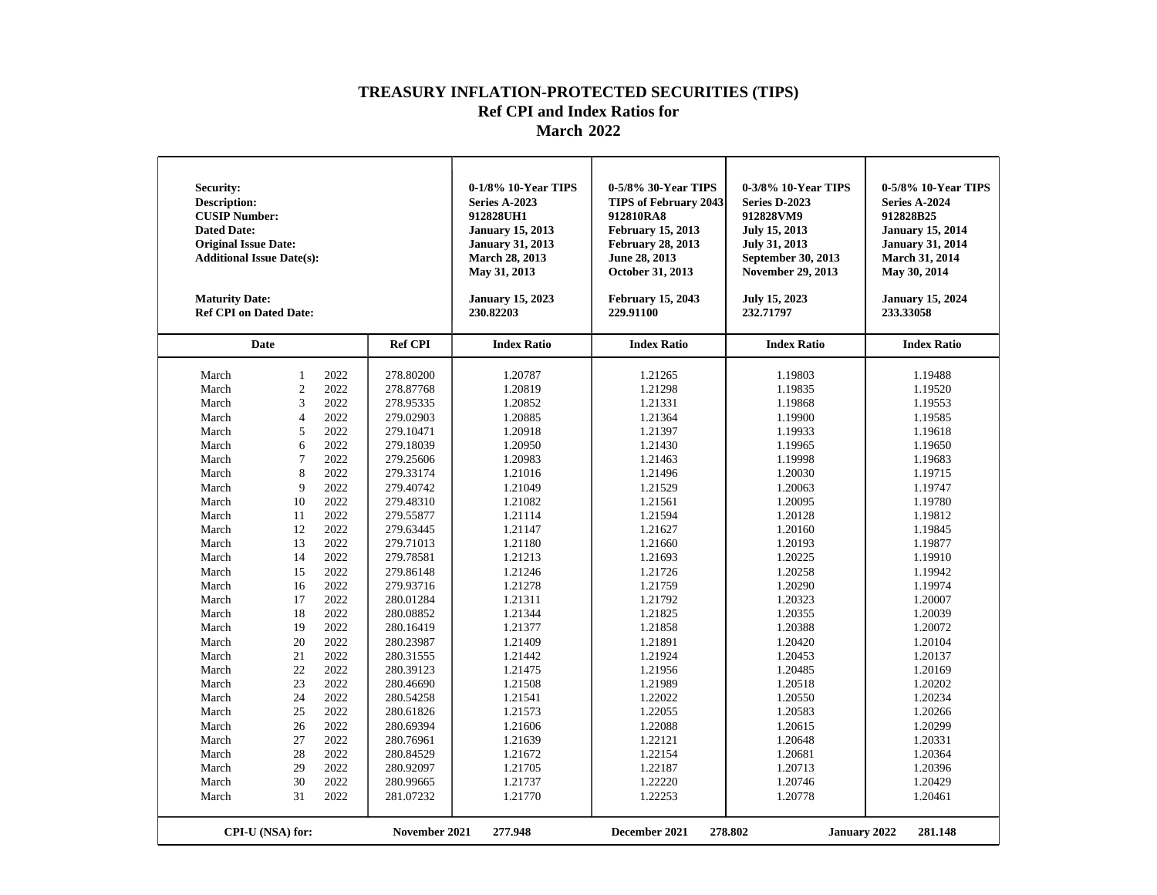| <b>Security:</b><br><b>Description:</b><br><b>CUSIP Number:</b><br><b>Dated Date:</b><br><b>Original Issue Date:</b><br><b>Additional Issue Date(s):</b><br><b>Maturity Date:</b><br><b>Ref CPI on Dated Date:</b>                                                         |                                                                                                                                                                                                                           |                                                                                                                                                                                                                                              |                                                                                                                                                                                                                                                                                                                                                                                                    | 0-1/8% 10-Year TIPS<br><b>Series A-2023</b><br>912828UH1<br><b>January 15, 2013</b><br><b>January 31, 2013</b><br>March 28, 2013<br>May 31, 2013<br><b>January 15, 2023</b><br>230.82203                                                                                                                                               | 0-5/8% 30-Year TIPS<br><b>TIPS of February 2043</b><br>912810RA8<br><b>February 15, 2013</b><br><b>February 28, 2013</b><br>June 28, 2013<br>October 31, 2013<br><b>February 15, 2043</b><br>229.91100                                                                                                                                 | 0-3/8% 10-Year TIPS<br>Series D-2023<br>912828VM9<br>July 15, 2013<br>July 31, 2013<br>September 30, 2013<br><b>November 29, 2013</b><br>July 15, 2023<br>232.71797                                                                                                                                                                    | 0-5/8% 10-Year TIPS<br>Series A-2024<br>912828B25<br><b>January 15, 2014</b><br><b>January 31, 2014</b><br><b>March 31, 2014</b><br>May 30, 2014<br><b>January 15, 2024</b><br>233.33058                                                                                                                                               |
|----------------------------------------------------------------------------------------------------------------------------------------------------------------------------------------------------------------------------------------------------------------------------|---------------------------------------------------------------------------------------------------------------------------------------------------------------------------------------------------------------------------|----------------------------------------------------------------------------------------------------------------------------------------------------------------------------------------------------------------------------------------------|----------------------------------------------------------------------------------------------------------------------------------------------------------------------------------------------------------------------------------------------------------------------------------------------------------------------------------------------------------------------------------------------------|----------------------------------------------------------------------------------------------------------------------------------------------------------------------------------------------------------------------------------------------------------------------------------------------------------------------------------------|----------------------------------------------------------------------------------------------------------------------------------------------------------------------------------------------------------------------------------------------------------------------------------------------------------------------------------------|----------------------------------------------------------------------------------------------------------------------------------------------------------------------------------------------------------------------------------------------------------------------------------------------------------------------------------------|----------------------------------------------------------------------------------------------------------------------------------------------------------------------------------------------------------------------------------------------------------------------------------------------------------------------------------------|
| <b>Date</b>                                                                                                                                                                                                                                                                |                                                                                                                                                                                                                           |                                                                                                                                                                                                                                              | <b>Ref CPI</b>                                                                                                                                                                                                                                                                                                                                                                                     | <b>Index Ratio</b>                                                                                                                                                                                                                                                                                                                     | <b>Index Ratio</b>                                                                                                                                                                                                                                                                                                                     | <b>Index Ratio</b>                                                                                                                                                                                                                                                                                                                     | <b>Index Ratio</b>                                                                                                                                                                                                                                                                                                                     |
| March<br>March<br>March<br>March<br>March<br>March<br>March<br>March<br>March<br>March<br>March<br>March<br>March<br>March<br>March<br>March<br>March<br>March<br>March<br>March<br>March<br>March<br>March<br>March<br>March<br>March<br>March<br>March<br>March<br>March | $\mathbf{1}$<br>$\overline{2}$<br>3<br>$\overline{4}$<br>5<br>6<br>$\overline{7}$<br>8<br>9<br>10<br>11<br>12<br>13<br>14<br>15<br>16<br>17<br>18<br>19<br>20<br>21<br>22<br>23<br>24<br>25<br>26<br>27<br>28<br>29<br>30 | 2022<br>2022<br>2022<br>2022<br>2022<br>2022<br>2022<br>2022<br>2022<br>2022<br>2022<br>2022<br>2022<br>2022<br>2022<br>2022<br>2022<br>2022<br>2022<br>2022<br>2022<br>2022<br>2022<br>2022<br>2022<br>2022<br>2022<br>2022<br>2022<br>2022 | 278.80200<br>278.87768<br>278.95335<br>279.02903<br>279.10471<br>279.18039<br>279.25606<br>279.33174<br>279.40742<br>279.48310<br>279.55877<br>279.63445<br>279.71013<br>279.78581<br>279.86148<br>279.93716<br>280.01284<br>280.08852<br>280.16419<br>280.23987<br>280.31555<br>280.39123<br>280.46690<br>280.54258<br>280.61826<br>280.69394<br>280.76961<br>280.84529<br>280.92097<br>280.99665 | 1.20787<br>1.20819<br>1.20852<br>1.20885<br>1.20918<br>1.20950<br>1.20983<br>1.21016<br>1.21049<br>1.21082<br>1.21114<br>1.21147<br>1.21180<br>1.21213<br>1.21246<br>1.21278<br>1.21311<br>1.21344<br>1.21377<br>1.21409<br>1.21442<br>1.21475<br>1.21508<br>1.21541<br>1.21573<br>1.21606<br>1.21639<br>1.21672<br>1.21705<br>1.21737 | 1.21265<br>1.21298<br>1.21331<br>1.21364<br>1.21397<br>1.21430<br>1.21463<br>1.21496<br>1.21529<br>1.21561<br>1.21594<br>1.21627<br>1.21660<br>1.21693<br>1.21726<br>1.21759<br>1.21792<br>1.21825<br>1.21858<br>1.21891<br>1.21924<br>1.21956<br>1.21989<br>1.22022<br>1.22055<br>1.22088<br>1.22121<br>1.22154<br>1.22187<br>1.22220 | 1.19803<br>1.19835<br>1.19868<br>1.19900<br>1.19933<br>1.19965<br>1.19998<br>1.20030<br>1.20063<br>1.20095<br>1.20128<br>1.20160<br>1.20193<br>1.20225<br>1.20258<br>1.20290<br>1.20323<br>1.20355<br>1.20388<br>1.20420<br>1.20453<br>1.20485<br>1.20518<br>1.20550<br>1.20583<br>1.20615<br>1.20648<br>1.20681<br>1.20713<br>1.20746 | 1.19488<br>1.19520<br>1.19553<br>1.19585<br>1.19618<br>1.19650<br>1.19683<br>1.19715<br>1.19747<br>1.19780<br>1.19812<br>1.19845<br>1.19877<br>1.19910<br>1.19942<br>1.19974<br>1.20007<br>1.20039<br>1.20072<br>1.20104<br>1.20137<br>1.20169<br>1.20202<br>1.20234<br>1.20266<br>1.20299<br>1.20331<br>1.20364<br>1.20396<br>1.20429 |
| March                                                                                                                                                                                                                                                                      | 31<br>CPI-U (NSA) for:                                                                                                                                                                                                    | 2022                                                                                                                                                                                                                                         | 281.07232<br>November 2021                                                                                                                                                                                                                                                                                                                                                                         | 1.21770<br>277.948                                                                                                                                                                                                                                                                                                                     | 1.22253<br>December 2021                                                                                                                                                                                                                                                                                                               | 1.20778<br>278.802<br><b>January 2022</b>                                                                                                                                                                                                                                                                                              | 1.20461<br>281.148                                                                                                                                                                                                                                                                                                                     |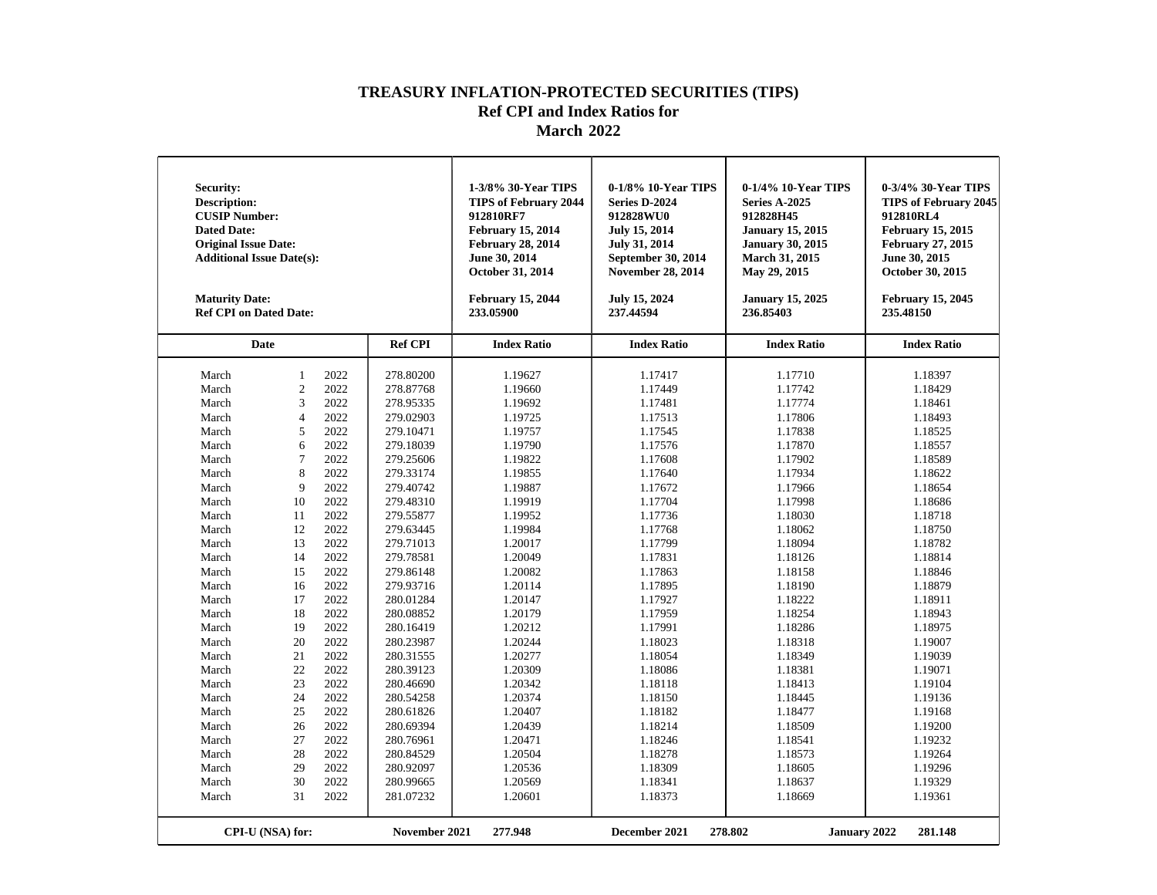| Security:<br><b>Description:</b><br><b>CUSIP Number:</b><br><b>Dated Date:</b><br><b>Original Issue Date:</b><br><b>Additional Issue Date(s):</b><br><b>Maturity Date:</b><br><b>Ref CPI on Dated Date:</b>                                                                         |                                                                                                                                                                                                                             |                                                                                                                                                                                                                                                      |                                                                                                                                                                                                                                                                                                                                                                                                                 | 1-3/8% 30-Year TIPS<br><b>TIPS of February 2044</b><br>912810RF7<br><b>February 15, 2014</b><br><b>February 28, 2014</b><br>June 30, 2014<br>October 31, 2014<br><b>February 15, 2044</b><br>233.05900                                                                                                                                            | 0-1/8% 10-Year TIPS<br>Series D-2024<br>912828WU0<br><b>July 15, 2014</b><br><b>July 31, 2014</b><br><b>September 30, 2014</b><br><b>November 28, 2014</b><br>July 15, 2024<br>237.44594                                                                                                                                                          | 0-1/4% 10-Year TIPS<br>Series A-2025<br>912828H45<br><b>January 15, 2015</b><br><b>January 30, 2015</b><br>March 31, 2015<br>May 29, 2015<br><b>January 15, 2025</b><br>236.85403                                                                                                                                                                 | 0-3/4% 30-Year TIPS<br><b>TIPS of February 2045</b><br>912810RL4<br><b>February 15, 2015</b><br><b>February 27, 2015</b><br>June 30, 2015<br>October 30, 2015<br><b>February 15, 2045</b><br>235.48150                                                                                                                                            |
|-------------------------------------------------------------------------------------------------------------------------------------------------------------------------------------------------------------------------------------------------------------------------------------|-----------------------------------------------------------------------------------------------------------------------------------------------------------------------------------------------------------------------------|------------------------------------------------------------------------------------------------------------------------------------------------------------------------------------------------------------------------------------------------------|-----------------------------------------------------------------------------------------------------------------------------------------------------------------------------------------------------------------------------------------------------------------------------------------------------------------------------------------------------------------------------------------------------------------|---------------------------------------------------------------------------------------------------------------------------------------------------------------------------------------------------------------------------------------------------------------------------------------------------------------------------------------------------|---------------------------------------------------------------------------------------------------------------------------------------------------------------------------------------------------------------------------------------------------------------------------------------------------------------------------------------------------|---------------------------------------------------------------------------------------------------------------------------------------------------------------------------------------------------------------------------------------------------------------------------------------------------------------------------------------------------|---------------------------------------------------------------------------------------------------------------------------------------------------------------------------------------------------------------------------------------------------------------------------------------------------------------------------------------------------|
|                                                                                                                                                                                                                                                                                     | <b>Date</b>                                                                                                                                                                                                                 |                                                                                                                                                                                                                                                      | <b>Ref CPI</b>                                                                                                                                                                                                                                                                                                                                                                                                  | <b>Index Ratio</b>                                                                                                                                                                                                                                                                                                                                | <b>Index Ratio</b>                                                                                                                                                                                                                                                                                                                                | <b>Index Ratio</b>                                                                                                                                                                                                                                                                                                                                | <b>Index Ratio</b>                                                                                                                                                                                                                                                                                                                                |
| March<br>March<br>March<br>March<br>March<br>March<br>March<br>March<br>March<br>March<br>March<br>March<br>March<br>March<br>March<br>March<br>March<br>March<br>March<br>March<br>March<br>March<br>March<br>March<br>March<br>March<br>March<br>March<br>March<br>March<br>March | $\mathbf{1}$<br>$\sqrt{2}$<br>3<br>$\overline{4}$<br>5<br>6<br>$\overline{7}$<br>8<br>9<br>10<br>11<br>12<br>13<br>14<br>15<br>16<br>17<br>18<br>19<br>20<br>21<br>22<br>23<br>24<br>25<br>26<br>27<br>28<br>29<br>30<br>31 | 2022<br>2022<br>2022<br>2022<br>2022<br>2022<br>2022<br>2022<br>2022<br>2022<br>2022<br>2022<br>2022<br>2022<br>2022<br>2022<br>2022<br>2022<br>2022<br>2022<br>2022<br>2022<br>2022<br>2022<br>2022<br>2022<br>2022<br>2022<br>2022<br>2022<br>2022 | 278.80200<br>278.87768<br>278.95335<br>279.02903<br>279.10471<br>279.18039<br>279.25606<br>279.33174<br>279.40742<br>279.48310<br>279.55877<br>279.63445<br>279.71013<br>279.78581<br>279.86148<br>279.93716<br>280.01284<br>280.08852<br>280.16419<br>280.23987<br>280.31555<br>280.39123<br>280.46690<br>280.54258<br>280.61826<br>280.69394<br>280.76961<br>280.84529<br>280.92097<br>280.99665<br>281.07232 | 1.19627<br>1.19660<br>1.19692<br>1.19725<br>1.19757<br>1.19790<br>1.19822<br>1.19855<br>1.19887<br>1.19919<br>1.19952<br>1.19984<br>1.20017<br>1.20049<br>1.20082<br>1.20114<br>1.20147<br>1.20179<br>1.20212<br>1.20244<br>1.20277<br>1.20309<br>1.20342<br>1.20374<br>1.20407<br>1.20439<br>1.20471<br>1.20504<br>1.20536<br>1.20569<br>1.20601 | 1.17417<br>1.17449<br>1.17481<br>1.17513<br>1.17545<br>1.17576<br>1.17608<br>1.17640<br>1.17672<br>1.17704<br>1.17736<br>1.17768<br>1.17799<br>1.17831<br>1.17863<br>1.17895<br>1.17927<br>1.17959<br>1.17991<br>1.18023<br>1.18054<br>1.18086<br>1.18118<br>1.18150<br>1.18182<br>1.18214<br>1.18246<br>1.18278<br>1.18309<br>1.18341<br>1.18373 | 1.17710<br>1.17742<br>1.17774<br>1.17806<br>1.17838<br>1.17870<br>1.17902<br>1.17934<br>1.17966<br>1.17998<br>1.18030<br>1.18062<br>1.18094<br>1.18126<br>1.18158<br>1.18190<br>1.18222<br>1.18254<br>1.18286<br>1.18318<br>1.18349<br>1.18381<br>1.18413<br>1.18445<br>1.18477<br>1.18509<br>1.18541<br>1.18573<br>1.18605<br>1.18637<br>1.18669 | 1.18397<br>1.18429<br>1.18461<br>1.18493<br>1.18525<br>1.18557<br>1.18589<br>1.18622<br>1.18654<br>1.18686<br>1.18718<br>1.18750<br>1.18782<br>1.18814<br>1.18846<br>1.18879<br>1.18911<br>1.18943<br>1.18975<br>1.19007<br>1.19039<br>1.19071<br>1.19104<br>1.19136<br>1.19168<br>1.19200<br>1.19232<br>1.19264<br>1.19296<br>1.19329<br>1.19361 |
|                                                                                                                                                                                                                                                                                     | CPI-U (NSA) for:                                                                                                                                                                                                            |                                                                                                                                                                                                                                                      | November 2021                                                                                                                                                                                                                                                                                                                                                                                                   | 277.948                                                                                                                                                                                                                                                                                                                                           | December 2021                                                                                                                                                                                                                                                                                                                                     | 278.802<br><b>January 2022</b>                                                                                                                                                                                                                                                                                                                    | 281.148                                                                                                                                                                                                                                                                                                                                           |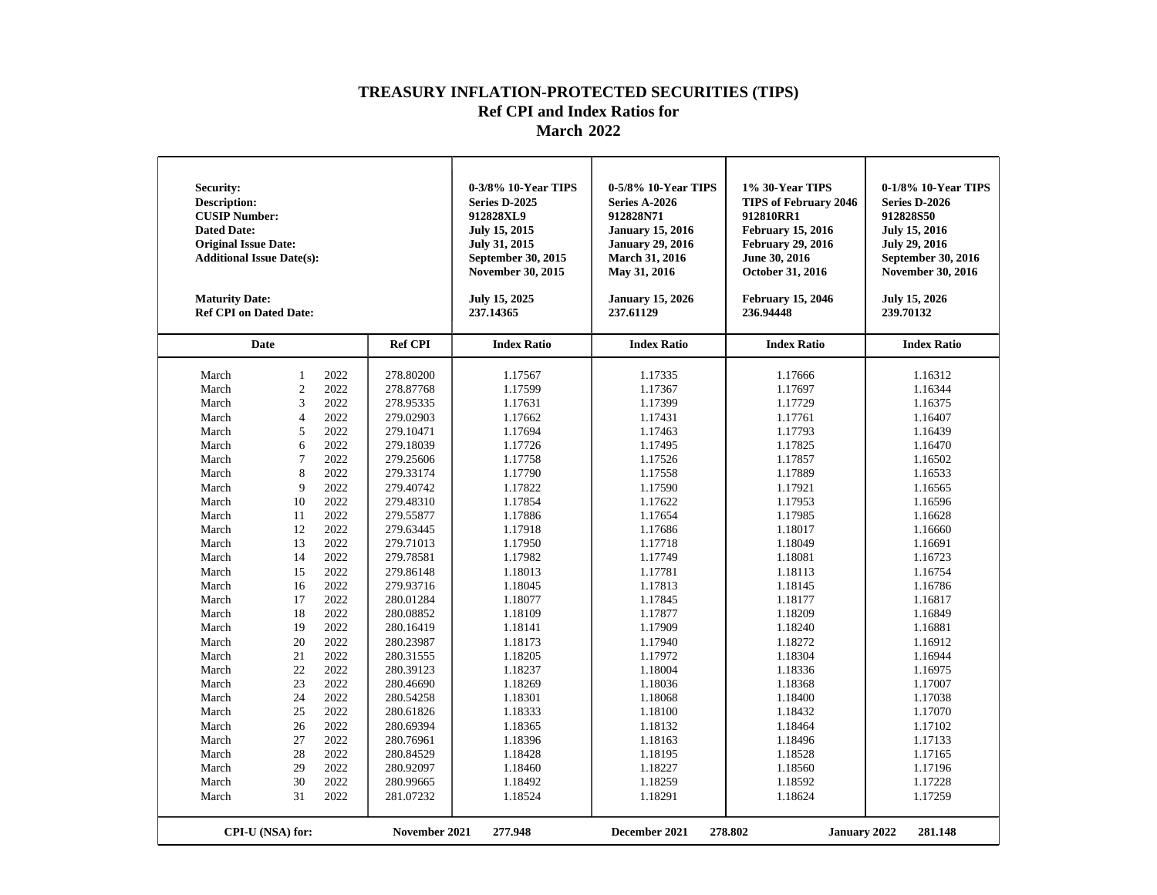| <b>Security:</b><br><b>Description:</b><br><b>CUSIP Number:</b><br><b>Dated Date:</b><br><b>Original Issue Date:</b><br><b>Additional Issue Date(s):</b><br><b>Maturity Date:</b><br><b>Ref CPI on Dated Date:</b>                                                                                                                                                                                                                                                                                                                                                                                                                                                                                                                                      |                                                                                                                                                                                                                                                                                                                                                                                                    | 0-3/8% 10-Year TIPS<br>Series D-2025<br>912828XL9<br>July 15, 2015<br>July 31, 2015<br>September 30, 2015<br><b>November 30, 2015</b><br>July 15, 2025<br>237.14365                                                                                                                                                                    | 0-5/8% 10-Year TIPS<br><b>Series A-2026</b><br>912828N71<br><b>January 15, 2016</b><br><b>January 29, 2016</b><br>March 31, 2016<br>May 31, 2016<br><b>January 15, 2026</b><br>237.61129                                                                                                                                               | 1% 30-Year TIPS<br><b>TIPS of February 2046</b><br>912810RR1<br><b>February 15, 2016</b><br><b>February 29, 2016</b><br>June 30, 2016<br>October 31, 2016<br><b>February 15, 2046</b><br>236.94448                                                                                                                                     | 0-1/8% 10-Year TIPS<br>Series D-2026<br>912828S50<br><b>July 15, 2016</b><br><b>July 29, 2016</b><br>September 30, 2016<br><b>November 30, 2016</b><br><b>July 15, 2026</b><br>239.70132                                                                                                                                               |
|---------------------------------------------------------------------------------------------------------------------------------------------------------------------------------------------------------------------------------------------------------------------------------------------------------------------------------------------------------------------------------------------------------------------------------------------------------------------------------------------------------------------------------------------------------------------------------------------------------------------------------------------------------------------------------------------------------------------------------------------------------|----------------------------------------------------------------------------------------------------------------------------------------------------------------------------------------------------------------------------------------------------------------------------------------------------------------------------------------------------------------------------------------------------|----------------------------------------------------------------------------------------------------------------------------------------------------------------------------------------------------------------------------------------------------------------------------------------------------------------------------------------|----------------------------------------------------------------------------------------------------------------------------------------------------------------------------------------------------------------------------------------------------------------------------------------------------------------------------------------|----------------------------------------------------------------------------------------------------------------------------------------------------------------------------------------------------------------------------------------------------------------------------------------------------------------------------------------|----------------------------------------------------------------------------------------------------------------------------------------------------------------------------------------------------------------------------------------------------------------------------------------------------------------------------------------|
| Date                                                                                                                                                                                                                                                                                                                                                                                                                                                                                                                                                                                                                                                                                                                                                    | <b>Ref CPI</b>                                                                                                                                                                                                                                                                                                                                                                                     | <b>Index Ratio</b>                                                                                                                                                                                                                                                                                                                     | <b>Index Ratio</b>                                                                                                                                                                                                                                                                                                                     | <b>Index Ratio</b>                                                                                                                                                                                                                                                                                                                     | <b>Index Ratio</b>                                                                                                                                                                                                                                                                                                                     |
| March<br>$\mathbf{1}$<br>2022<br>$\overline{c}$<br>2022<br>March<br>3<br>2022<br>March<br>2022<br>March<br>$\overline{4}$<br>5<br>2022<br>March<br>2022<br>March<br>6<br>$\overline{7}$<br>2022<br>March<br>2022<br>8<br>March<br>2022<br>March<br>9<br>2022<br>March<br>10<br>2022<br>March<br>11<br>12<br>2022<br>March<br>2022<br>13<br>March<br>2022<br>14<br>March<br>2022<br>March<br>15<br>2022<br>March<br>16<br>2022<br>March<br>17<br>2022<br>18<br>March<br>2022<br>March<br>19<br>2022<br>20<br>March<br>2022<br>March<br>21<br>2022<br>March<br>22<br>2022<br>March<br>23<br>2022<br>24<br>March<br>2022<br>March<br>25<br>2022<br>March<br>26<br>2022<br>March<br>27<br>2022<br>March<br>28<br>2022<br>March<br>29<br>2022<br>30<br>March | 278.80200<br>278.87768<br>278.95335<br>279.02903<br>279.10471<br>279.18039<br>279.25606<br>279.33174<br>279.40742<br>279.48310<br>279.55877<br>279.63445<br>279.71013<br>279.78581<br>279.86148<br>279.93716<br>280.01284<br>280.08852<br>280.16419<br>280.23987<br>280.31555<br>280.39123<br>280.46690<br>280.54258<br>280.61826<br>280.69394<br>280.76961<br>280.84529<br>280.92097<br>280.99665 | 1.17567<br>1.17599<br>1.17631<br>1.17662<br>1.17694<br>1.17726<br>1.17758<br>1.17790<br>1.17822<br>1.17854<br>1.17886<br>1.17918<br>1.17950<br>1.17982<br>1.18013<br>1.18045<br>1.18077<br>1.18109<br>1.18141<br>1.18173<br>1.18205<br>1.18237<br>1.18269<br>1.18301<br>1.18333<br>1.18365<br>1.18396<br>1.18428<br>1.18460<br>1.18492 | 1.17335<br>1.17367<br>1.17399<br>1.17431<br>1.17463<br>1.17495<br>1.17526<br>1.17558<br>1.17590<br>1.17622<br>1.17654<br>1.17686<br>1.17718<br>1.17749<br>1.17781<br>1.17813<br>1.17845<br>1.17877<br>1.17909<br>1.17940<br>1.17972<br>1.18004<br>1.18036<br>1.18068<br>1.18100<br>1.18132<br>1.18163<br>1.18195<br>1.18227<br>1.18259 | 1.17666<br>1.17697<br>1.17729<br>1.17761<br>1.17793<br>1.17825<br>1.17857<br>1.17889<br>1.17921<br>1.17953<br>1.17985<br>1.18017<br>1.18049<br>1.18081<br>1.18113<br>1.18145<br>1.18177<br>1.18209<br>1.18240<br>1.18272<br>1.18304<br>1.18336<br>1.18368<br>1.18400<br>1.18432<br>1.18464<br>1.18496<br>1.18528<br>1.18560<br>1.18592 | 1.16312<br>1.16344<br>1.16375<br>1.16407<br>1.16439<br>1.16470<br>1.16502<br>1.16533<br>1.16565<br>1.16596<br>1.16628<br>1.16660<br>1.16691<br>1.16723<br>1.16754<br>1.16786<br>1.16817<br>1.16849<br>1.16881<br>1.16912<br>1.16944<br>1.16975<br>1.17007<br>1.17038<br>1.17070<br>1.17102<br>1.17133<br>1.17165<br>1.17196<br>1.17228 |
| 31<br>2022<br>March<br>CPI-U (NSA) for:                                                                                                                                                                                                                                                                                                                                                                                                                                                                                                                                                                                                                                                                                                                 | 281.07232<br>November 2021                                                                                                                                                                                                                                                                                                                                                                         | 1.18524<br>277.948                                                                                                                                                                                                                                                                                                                     | 1.18291<br>December 2021                                                                                                                                                                                                                                                                                                               | 1.18624<br>278.802<br><b>January 2022</b>                                                                                                                                                                                                                                                                                              | 1.17259<br>281.148                                                                                                                                                                                                                                                                                                                     |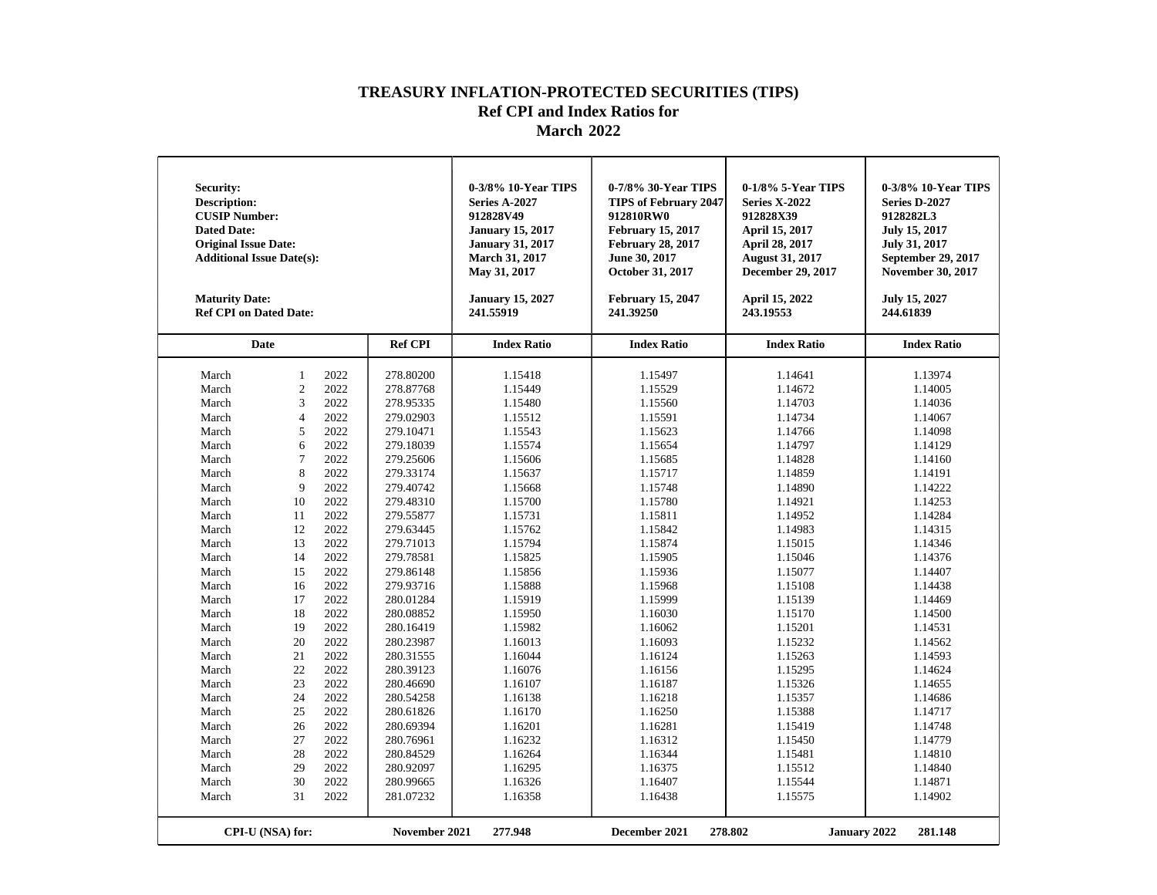| Security:<br><b>Description:</b><br><b>CUSIP Number:</b><br><b>Dated Date:</b><br><b>Original Issue Date:</b><br><b>Additional Issue Date(s):</b><br><b>Maturity Date:</b><br><b>Ref CPI on Dated Date:</b>                                                                         |                                                                                                                                                                                                                                 |                                                                                                                                                                                                                                                      |                                                                                                                                                                                                                                                                                                                                                                                                                 | 0-3/8% 10-Year TIPS<br><b>Series A-2027</b><br>912828V49<br><b>January 15, 2017</b><br><b>January 31, 2017</b><br><b>March 31, 2017</b><br>May 31, 2017<br><b>January 15, 2027</b><br>241.55919                                                                                                                                                   | 0-7/8% 30-Year TIPS<br><b>TIPS of February 2047</b><br>912810RW0<br><b>February 15, 2017</b><br><b>February 28, 2017</b><br>June 30, 2017<br>October 31, 2017<br><b>February 15, 2047</b><br>241.39250                                                                                                                                            | 0-1/8% 5-Year TIPS<br><b>Series X-2022</b><br>912828X39<br>April 15, 2017<br>April 28, 2017<br><b>August 31, 2017</b><br><b>December 29, 2017</b><br>April 15, 2022<br>243.19553                                                                                                                                                                  | 0-3/8% 10-Year TIPS<br>Series D-2027<br>9128282L3<br>July 15, 2017<br>July 31, 2017<br>September 29, 2017<br><b>November 30, 2017</b><br>July 15, 2027<br>244.61839                                                                                                                                                                               |
|-------------------------------------------------------------------------------------------------------------------------------------------------------------------------------------------------------------------------------------------------------------------------------------|---------------------------------------------------------------------------------------------------------------------------------------------------------------------------------------------------------------------------------|------------------------------------------------------------------------------------------------------------------------------------------------------------------------------------------------------------------------------------------------------|-----------------------------------------------------------------------------------------------------------------------------------------------------------------------------------------------------------------------------------------------------------------------------------------------------------------------------------------------------------------------------------------------------------------|---------------------------------------------------------------------------------------------------------------------------------------------------------------------------------------------------------------------------------------------------------------------------------------------------------------------------------------------------|---------------------------------------------------------------------------------------------------------------------------------------------------------------------------------------------------------------------------------------------------------------------------------------------------------------------------------------------------|---------------------------------------------------------------------------------------------------------------------------------------------------------------------------------------------------------------------------------------------------------------------------------------------------------------------------------------------------|---------------------------------------------------------------------------------------------------------------------------------------------------------------------------------------------------------------------------------------------------------------------------------------------------------------------------------------------------|
| <b>Date</b>                                                                                                                                                                                                                                                                         |                                                                                                                                                                                                                                 |                                                                                                                                                                                                                                                      | <b>Ref CPI</b>                                                                                                                                                                                                                                                                                                                                                                                                  | <b>Index Ratio</b>                                                                                                                                                                                                                                                                                                                                | <b>Index Ratio</b>                                                                                                                                                                                                                                                                                                                                | <b>Index Ratio</b>                                                                                                                                                                                                                                                                                                                                | <b>Index Ratio</b>                                                                                                                                                                                                                                                                                                                                |
| March<br>March<br>March<br>March<br>March<br>March<br>March<br>March<br>March<br>March<br>March<br>March<br>March<br>March<br>March<br>March<br>March<br>March<br>March<br>March<br>March<br>March<br>March<br>March<br>March<br>March<br>March<br>March<br>March<br>March<br>March | $\mathbf{1}$<br>$\overline{2}$<br>3<br>$\overline{4}$<br>5<br>6<br>$\overline{7}$<br>8<br>9<br>10<br>11<br>12<br>13<br>14<br>15<br>16<br>17<br>18<br>19<br>20<br>21<br>22<br>23<br>24<br>25<br>26<br>27<br>28<br>29<br>30<br>31 | 2022<br>2022<br>2022<br>2022<br>2022<br>2022<br>2022<br>2022<br>2022<br>2022<br>2022<br>2022<br>2022<br>2022<br>2022<br>2022<br>2022<br>2022<br>2022<br>2022<br>2022<br>2022<br>2022<br>2022<br>2022<br>2022<br>2022<br>2022<br>2022<br>2022<br>2022 | 278.80200<br>278.87768<br>278.95335<br>279.02903<br>279.10471<br>279.18039<br>279.25606<br>279.33174<br>279.40742<br>279.48310<br>279.55877<br>279.63445<br>279.71013<br>279.78581<br>279.86148<br>279.93716<br>280.01284<br>280.08852<br>280.16419<br>280.23987<br>280.31555<br>280.39123<br>280.46690<br>280.54258<br>280.61826<br>280.69394<br>280.76961<br>280.84529<br>280.92097<br>280.99665<br>281.07232 | 1.15418<br>1.15449<br>1.15480<br>1.15512<br>1.15543<br>1.15574<br>1.15606<br>1.15637<br>1.15668<br>1.15700<br>1.15731<br>1.15762<br>1.15794<br>1.15825<br>1.15856<br>1.15888<br>1.15919<br>1.15950<br>1.15982<br>1.16013<br>1.16044<br>1.16076<br>1.16107<br>1.16138<br>1.16170<br>1.16201<br>1.16232<br>1.16264<br>1.16295<br>1.16326<br>1.16358 | 1.15497<br>1.15529<br>1.15560<br>1.15591<br>1.15623<br>1.15654<br>1.15685<br>1.15717<br>1.15748<br>1.15780<br>1.15811<br>1.15842<br>1.15874<br>1.15905<br>1.15936<br>1.15968<br>1.15999<br>1.16030<br>1.16062<br>1.16093<br>1.16124<br>1.16156<br>1.16187<br>1.16218<br>1.16250<br>1.16281<br>1.16312<br>1.16344<br>1.16375<br>1.16407<br>1.16438 | 1.14641<br>1.14672<br>1.14703<br>1.14734<br>1.14766<br>1.14797<br>1.14828<br>1.14859<br>1.14890<br>1.14921<br>1.14952<br>1.14983<br>1.15015<br>1.15046<br>1.15077<br>1.15108<br>1.15139<br>1.15170<br>1.15201<br>1.15232<br>1.15263<br>1.15295<br>1.15326<br>1.15357<br>1.15388<br>1.15419<br>1.15450<br>1.15481<br>1.15512<br>1.15544<br>1.15575 | 1.13974<br>1.14005<br>1.14036<br>1.14067<br>1.14098<br>1.14129<br>1.14160<br>1.14191<br>1.14222<br>1.14253<br>1.14284<br>1.14315<br>1.14346<br>1.14376<br>1.14407<br>1.14438<br>1.14469<br>1.14500<br>1.14531<br>1.14562<br>1.14593<br>1.14624<br>1.14655<br>1.14686<br>1.14717<br>1.14748<br>1.14779<br>1.14810<br>1.14840<br>1.14871<br>1.14902 |
|                                                                                                                                                                                                                                                                                     | CPI-U (NSA) for:                                                                                                                                                                                                                |                                                                                                                                                                                                                                                      | November 2021                                                                                                                                                                                                                                                                                                                                                                                                   | 277.948                                                                                                                                                                                                                                                                                                                                           | December 2021                                                                                                                                                                                                                                                                                                                                     | 278.802<br><b>January 2022</b>                                                                                                                                                                                                                                                                                                                    | 281.148                                                                                                                                                                                                                                                                                                                                           |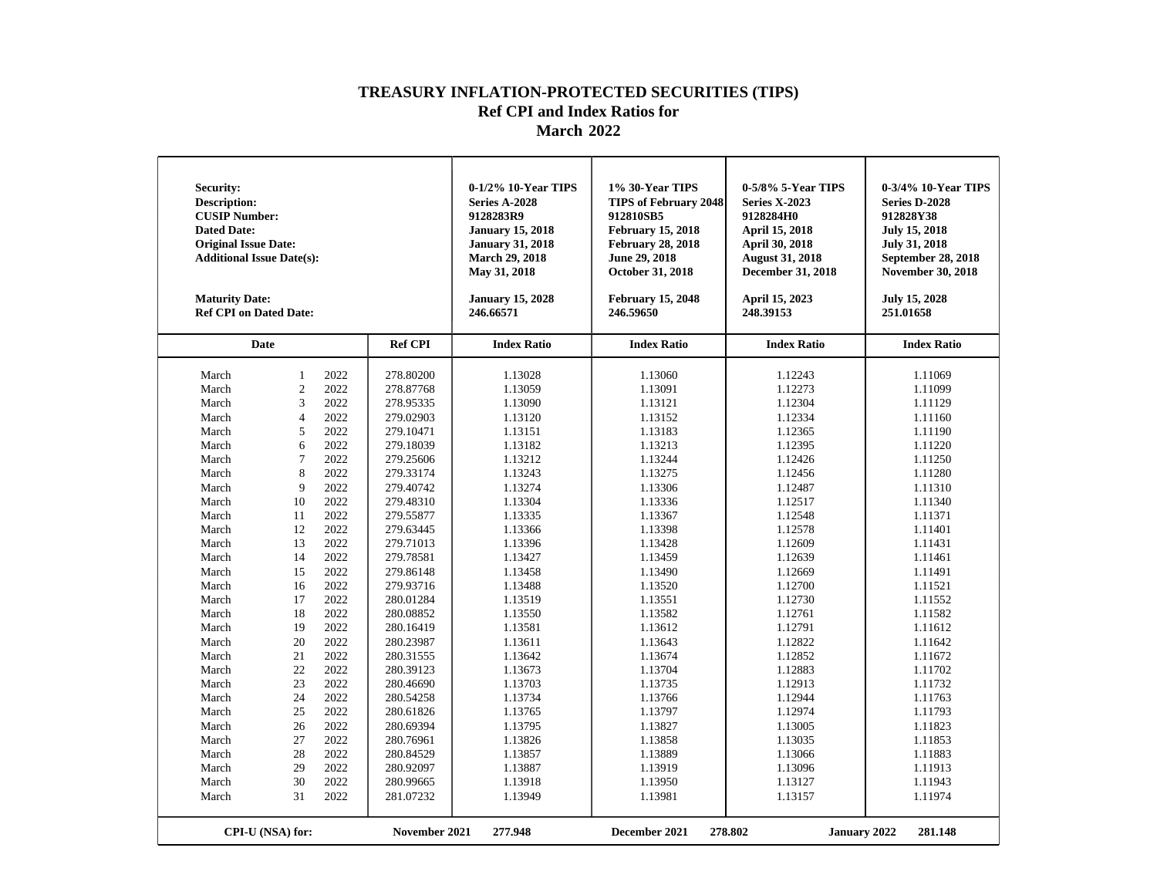| <b>Security:</b><br><b>Description:</b><br><b>CUSIP Number:</b><br><b>Dated Date:</b><br><b>Original Issue Date:</b><br><b>Additional Issue Date(s):</b><br><b>Maturity Date:</b><br><b>Ref CPI on Dated Date:</b>                                                |                                                                                                                                                                                                                     |                                                                                                                                                                                                                                      |                                                                                                                                                                                                                                                                                                                                                                                       | 0-1/2% 10-Year TIPS<br>Series A-2028<br>9128283R9<br><b>January 15, 2018</b><br><b>January 31, 2018</b><br>March 29, 2018<br>May 31, 2018<br><b>January 15, 2028</b><br>246.66571                                                                                                                                           | 1% 30-Year TIPS<br><b>TIPS of February 2048</b><br>912810SB5<br><b>February 15, 2018</b><br><b>February 28, 2018</b><br>June 29, 2018<br>October 31, 2018<br><b>February 15, 2048</b><br>246.59650                                                                                                                          | 0-5/8% 5-Year TIPS<br><b>Series X-2023</b><br>9128284H0<br>April 15, 2018<br><b>April 30, 2018</b><br><b>August 31, 2018</b><br><b>December 31, 2018</b><br>April 15, 2023<br>248.39153                                                                                                                                     | 0-3/4% 10-Year TIPS<br>Series D-2028<br>912828Y38<br><b>July 15, 2018</b><br><b>July 31, 2018</b><br>September 28, 2018<br><b>November 30, 2018</b><br>July 15, 2028<br>251.01658                                                                                                                                           |
|-------------------------------------------------------------------------------------------------------------------------------------------------------------------------------------------------------------------------------------------------------------------|---------------------------------------------------------------------------------------------------------------------------------------------------------------------------------------------------------------------|--------------------------------------------------------------------------------------------------------------------------------------------------------------------------------------------------------------------------------------|---------------------------------------------------------------------------------------------------------------------------------------------------------------------------------------------------------------------------------------------------------------------------------------------------------------------------------------------------------------------------------------|-----------------------------------------------------------------------------------------------------------------------------------------------------------------------------------------------------------------------------------------------------------------------------------------------------------------------------|-----------------------------------------------------------------------------------------------------------------------------------------------------------------------------------------------------------------------------------------------------------------------------------------------------------------------------|-----------------------------------------------------------------------------------------------------------------------------------------------------------------------------------------------------------------------------------------------------------------------------------------------------------------------------|-----------------------------------------------------------------------------------------------------------------------------------------------------------------------------------------------------------------------------------------------------------------------------------------------------------------------------|
| Date                                                                                                                                                                                                                                                              |                                                                                                                                                                                                                     |                                                                                                                                                                                                                                      | <b>Ref CPI</b>                                                                                                                                                                                                                                                                                                                                                                        | <b>Index Ratio</b>                                                                                                                                                                                                                                                                                                          | <b>Index Ratio</b>                                                                                                                                                                                                                                                                                                          | <b>Index Ratio</b>                                                                                                                                                                                                                                                                                                          | <b>Index Ratio</b>                                                                                                                                                                                                                                                                                                          |
| March<br>March<br>March<br>March<br>March<br>March<br>March<br>March<br>March<br>March<br>March<br>March<br>March<br>March<br>March<br>March<br>March<br>March<br>March<br>March<br>March<br>March<br>March<br>March<br>March<br>March<br>March<br>March<br>March | $\mathbf{1}$<br>$\overline{c}$<br>3<br>$\overline{4}$<br>5<br>6<br>$\overline{7}$<br>8<br>9<br>10<br>11<br>12<br>13<br>14<br>15<br>16<br>17<br>18<br>19<br>20<br>21<br>22<br>23<br>24<br>25<br>26<br>27<br>28<br>29 | 2022<br>2022<br>2022<br>2022<br>2022<br>2022<br>2022<br>2022<br>2022<br>2022<br>2022<br>2022<br>2022<br>2022<br>2022<br>2022<br>2022<br>2022<br>2022<br>2022<br>2022<br>2022<br>2022<br>2022<br>2022<br>2022<br>2022<br>2022<br>2022 | 278.80200<br>278.87768<br>278.95335<br>279.02903<br>279.10471<br>279.18039<br>279.25606<br>279.33174<br>279.40742<br>279.48310<br>279.55877<br>279.63445<br>279.71013<br>279.78581<br>279.86148<br>279.93716<br>280.01284<br>280.08852<br>280.16419<br>280.23987<br>280.31555<br>280.39123<br>280.46690<br>280.54258<br>280.61826<br>280.69394<br>280.76961<br>280.84529<br>280.92097 | 1.13028<br>1.13059<br>1.13090<br>1.13120<br>1.13151<br>1.13182<br>1.13212<br>1.13243<br>1.13274<br>1.13304<br>1.13335<br>1.13366<br>1.13396<br>1.13427<br>1.13458<br>1.13488<br>1.13519<br>1.13550<br>1.13581<br>1.13611<br>1.13642<br>1.13673<br>1.13703<br>1.13734<br>1.13765<br>1.13795<br>1.13826<br>1.13857<br>1.13887 | 1.13060<br>1.13091<br>1.13121<br>1.13152<br>1.13183<br>1.13213<br>1.13244<br>1.13275<br>1.13306<br>1.13336<br>1.13367<br>1.13398<br>1.13428<br>1.13459<br>1.13490<br>1.13520<br>1.13551<br>1.13582<br>1.13612<br>1.13643<br>1.13674<br>1.13704<br>1.13735<br>1.13766<br>1.13797<br>1.13827<br>1.13858<br>1.13889<br>1.13919 | 1.12243<br>1.12273<br>1.12304<br>1.12334<br>1.12365<br>1.12395<br>1.12426<br>1.12456<br>1.12487<br>1.12517<br>1.12548<br>1.12578<br>1.12609<br>1.12639<br>1.12669<br>1.12700<br>1.12730<br>1.12761<br>1.12791<br>1.12822<br>1.12852<br>1.12883<br>1.12913<br>1.12944<br>1.12974<br>1.13005<br>1.13035<br>1.13066<br>1.13096 | 1.11069<br>1.11099<br>1.11129<br>1.11160<br>1.11190<br>1.11220<br>1.11250<br>1.11280<br>1.11310<br>1.11340<br>1.11371<br>1.11401<br>1.11431<br>1.11461<br>1.11491<br>1.11521<br>1.11552<br>1.11582<br>1.11612<br>1.11642<br>1.11672<br>1.11702<br>1.11732<br>1.11763<br>1.11793<br>1.11823<br>1.11853<br>1.11883<br>1.11913 |
| March<br>March                                                                                                                                                                                                                                                    | 30<br>31                                                                                                                                                                                                            | 2022<br>2022                                                                                                                                                                                                                         | 280.99665<br>281.07232                                                                                                                                                                                                                                                                                                                                                                | 1.13918<br>1.13949                                                                                                                                                                                                                                                                                                          | 1.13950<br>1.13981                                                                                                                                                                                                                                                                                                          | 1.13127<br>1.13157                                                                                                                                                                                                                                                                                                          | 1.11943<br>1.11974                                                                                                                                                                                                                                                                                                          |
|                                                                                                                                                                                                                                                                   | CPI-U (NSA) for:                                                                                                                                                                                                    |                                                                                                                                                                                                                                      | November 2021                                                                                                                                                                                                                                                                                                                                                                         | 277.948                                                                                                                                                                                                                                                                                                                     | December 2021                                                                                                                                                                                                                                                                                                               | 278.802<br><b>January 2022</b>                                                                                                                                                                                                                                                                                              | 281.148                                                                                                                                                                                                                                                                                                                     |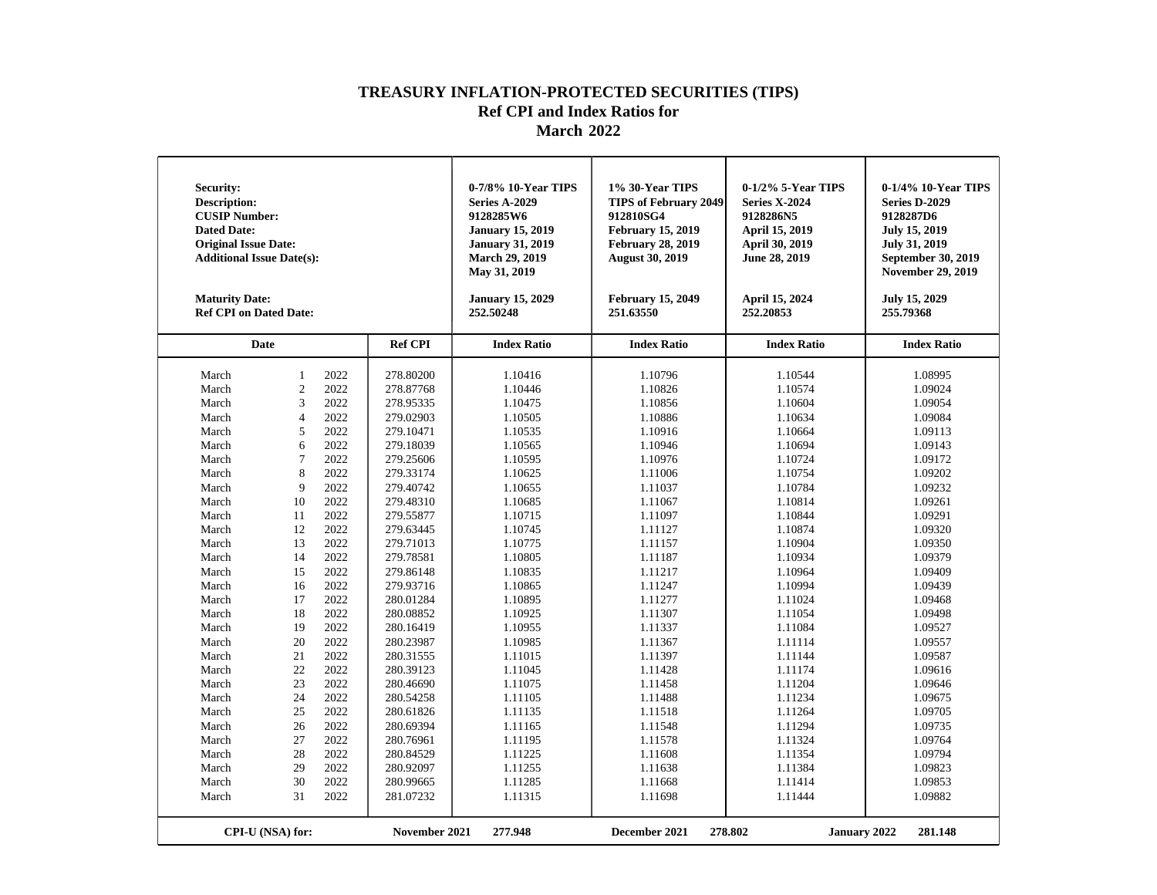| <b>Security:</b><br><b>Description:</b><br><b>CUSIP Number:</b><br><b>Dated Date:</b><br><b>Original Issue Date:</b><br><b>Additional Issue Date(s):</b><br><b>Maturity Date:</b><br><b>Ref CPI on Dated Date:</b>                                                |                                                                                                                                                                                                                     |                                                                                                                                                                                                                                      |                                                                                                                                                                                                                                                                                                                                                                                       | 0-7/8% 10-Year TIPS<br><b>Series A-2029</b><br>9128285W6<br><b>January 15, 2019</b><br><b>January 31, 2019</b><br><b>March 29, 2019</b><br>May 31, 2019<br><b>January 15, 2029</b><br>252.50248                                                                                                                             | 1% 30-Year TIPS<br><b>TIPS of February 2049</b><br>912810SG4<br><b>February 15, 2019</b><br><b>February 28, 2019</b><br><b>August 30, 2019</b><br><b>February 15, 2049</b><br>251.63550                                                                                                                                     | 0-1/2% 5-Year TIPS<br><b>Series X-2024</b><br>9128286N5<br>April 15, 2019<br>April 30, 2019<br>June 28, 2019<br>April 15, 2024<br>252.20853                                                                                                                                                                                 | 0-1/4% 10-Year TIPS<br><b>Series D-2029</b><br>9128287D6<br><b>July 15, 2019</b><br><b>July 31, 2019</b><br>September 30, 2019<br><b>November 29, 2019</b><br>July 15, 2029<br>255.79368                                                                                                                                    |
|-------------------------------------------------------------------------------------------------------------------------------------------------------------------------------------------------------------------------------------------------------------------|---------------------------------------------------------------------------------------------------------------------------------------------------------------------------------------------------------------------|--------------------------------------------------------------------------------------------------------------------------------------------------------------------------------------------------------------------------------------|---------------------------------------------------------------------------------------------------------------------------------------------------------------------------------------------------------------------------------------------------------------------------------------------------------------------------------------------------------------------------------------|-----------------------------------------------------------------------------------------------------------------------------------------------------------------------------------------------------------------------------------------------------------------------------------------------------------------------------|-----------------------------------------------------------------------------------------------------------------------------------------------------------------------------------------------------------------------------------------------------------------------------------------------------------------------------|-----------------------------------------------------------------------------------------------------------------------------------------------------------------------------------------------------------------------------------------------------------------------------------------------------------------------------|-----------------------------------------------------------------------------------------------------------------------------------------------------------------------------------------------------------------------------------------------------------------------------------------------------------------------------|
| <b>Date</b>                                                                                                                                                                                                                                                       |                                                                                                                                                                                                                     |                                                                                                                                                                                                                                      | <b>Ref CPI</b>                                                                                                                                                                                                                                                                                                                                                                        | <b>Index Ratio</b>                                                                                                                                                                                                                                                                                                          | <b>Index Ratio</b>                                                                                                                                                                                                                                                                                                          | <b>Index Ratio</b>                                                                                                                                                                                                                                                                                                          | <b>Index Ratio</b>                                                                                                                                                                                                                                                                                                          |
| March<br>March<br>March<br>March<br>March<br>March<br>March<br>March<br>March<br>March<br>March<br>March<br>March<br>March<br>March<br>March<br>March<br>March<br>March<br>March<br>March<br>March<br>March<br>March<br>March<br>March<br>March<br>March<br>March | $\mathbf{1}$<br>$\overline{2}$<br>3<br>$\overline{4}$<br>5<br>6<br>$\overline{7}$<br>8<br>9<br>10<br>11<br>12<br>13<br>14<br>15<br>16<br>17<br>18<br>19<br>20<br>21<br>22<br>23<br>24<br>25<br>26<br>27<br>28<br>29 | 2022<br>2022<br>2022<br>2022<br>2022<br>2022<br>2022<br>2022<br>2022<br>2022<br>2022<br>2022<br>2022<br>2022<br>2022<br>2022<br>2022<br>2022<br>2022<br>2022<br>2022<br>2022<br>2022<br>2022<br>2022<br>2022<br>2022<br>2022<br>2022 | 278.80200<br>278.87768<br>278.95335<br>279.02903<br>279.10471<br>279.18039<br>279.25606<br>279.33174<br>279.40742<br>279.48310<br>279.55877<br>279.63445<br>279.71013<br>279.78581<br>279.86148<br>279.93716<br>280.01284<br>280.08852<br>280.16419<br>280.23987<br>280.31555<br>280.39123<br>280.46690<br>280.54258<br>280.61826<br>280.69394<br>280.76961<br>280.84529<br>280.92097 | 1.10416<br>1.10446<br>1.10475<br>1.10505<br>1.10535<br>1.10565<br>1.10595<br>1.10625<br>1.10655<br>1.10685<br>1.10715<br>1.10745<br>1.10775<br>1.10805<br>1.10835<br>1.10865<br>1.10895<br>1.10925<br>1.10955<br>1.10985<br>1.11015<br>1.11045<br>1.11075<br>1.11105<br>1.11135<br>1.11165<br>1.11195<br>1.11225<br>1.11255 | 1.10796<br>1.10826<br>1.10856<br>1.10886<br>1.10916<br>1.10946<br>1.10976<br>1.11006<br>1.11037<br>1.11067<br>1.11097<br>1.11127<br>1.11157<br>1.11187<br>1.11217<br>1.11247<br>1.11277<br>1.11307<br>1.11337<br>1.11367<br>1.11397<br>1.11428<br>1.11458<br>1.11488<br>1.11518<br>1.11548<br>1.11578<br>1.11608<br>1.11638 | 1.10544<br>1.10574<br>1.10604<br>1.10634<br>1.10664<br>1.10694<br>1.10724<br>1.10754<br>1.10784<br>1.10814<br>1.10844<br>1.10874<br>1.10904<br>1.10934<br>1.10964<br>1.10994<br>1.11024<br>1.11054<br>1.11084<br>1.11114<br>1.11144<br>1.11174<br>1.11204<br>1.11234<br>1.11264<br>1.11294<br>1.11324<br>1.11354<br>1.11384 | 1.08995<br>1.09024<br>1.09054<br>1.09084<br>1.09113<br>1.09143<br>1.09172<br>1.09202<br>1.09232<br>1.09261<br>1.09291<br>1.09320<br>1.09350<br>1.09379<br>1.09409<br>1.09439<br>1.09468<br>1.09498<br>1.09527<br>1.09557<br>1.09587<br>1.09616<br>1.09646<br>1.09675<br>1.09705<br>1.09735<br>1.09764<br>1.09794<br>1.09823 |
| March<br>March                                                                                                                                                                                                                                                    | 30<br>31<br>CPI-U (NSA) for:                                                                                                                                                                                        | 2022<br>2022                                                                                                                                                                                                                         | 280.99665<br>281.07232<br>November 2021                                                                                                                                                                                                                                                                                                                                               | 1.11285<br>1.11315<br>277.948                                                                                                                                                                                                                                                                                               | 1.11668<br>1.11698<br>December 2021                                                                                                                                                                                                                                                                                         | 1.11414<br>1.11444<br>278.802<br><b>January 2022</b>                                                                                                                                                                                                                                                                        | 1.09853<br>1.09882<br>281.148                                                                                                                                                                                                                                                                                               |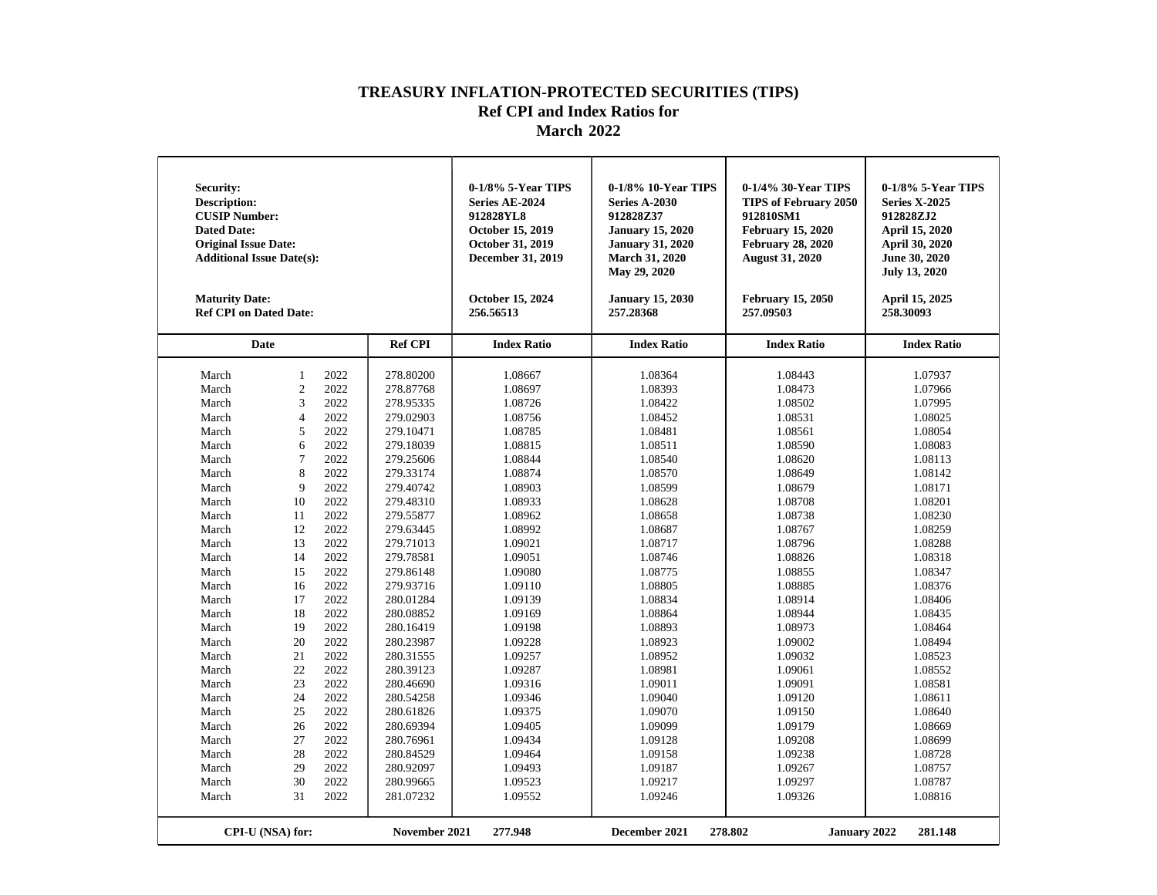| <b>Security:</b><br><b>Description:</b><br><b>CUSIP Number:</b><br><b>Dated Date:</b><br><b>Original Issue Date:</b><br><b>Additional Issue Date(s):</b><br><b>Maturity Date:</b><br><b>Ref CPI on Dated Date:</b> |                  |      |                | 0-1/8% 5-Year TIPS<br>Series AE-2024<br>912828YL8<br>October 15, 2019<br>October 31, 2019<br>December 31, 2019<br>October 15, 2024<br>256.56513 | 0-1/8% 10-Year TIPS<br>Series A-2030<br>912828Z37<br><b>January 15, 2020</b><br><b>January 31, 2020</b><br><b>March 31, 2020</b><br>May 29, 2020<br><b>January 15, 2030</b><br>257.28368 | 0-1/4% 30-Year TIPS<br><b>TIPS of February 2050</b><br>912810SM1<br><b>February 15, 2020</b><br><b>February 28, 2020</b><br><b>August 31, 2020</b><br><b>February 15, 2050</b><br>257.09503 | 0-1/8% 5-Year TIPS<br><b>Series X-2025</b><br>912828ZJ2<br>April 15, 2020<br>April 30, 2020<br>June 30, 2020<br><b>July 13, 2020</b><br>April 15, 2025<br>258.30093 |
|--------------------------------------------------------------------------------------------------------------------------------------------------------------------------------------------------------------------|------------------|------|----------------|-------------------------------------------------------------------------------------------------------------------------------------------------|------------------------------------------------------------------------------------------------------------------------------------------------------------------------------------------|---------------------------------------------------------------------------------------------------------------------------------------------------------------------------------------------|---------------------------------------------------------------------------------------------------------------------------------------------------------------------|
| Date                                                                                                                                                                                                               |                  |      | <b>Ref CPI</b> | <b>Index Ratio</b>                                                                                                                              | <b>Index Ratio</b>                                                                                                                                                                       | <b>Index Ratio</b>                                                                                                                                                                          | <b>Index Ratio</b>                                                                                                                                                  |
| March                                                                                                                                                                                                              | $\mathbf{1}$     | 2022 | 278.80200      | 1.08667                                                                                                                                         | 1.08364                                                                                                                                                                                  | 1.08443                                                                                                                                                                                     | 1.07937                                                                                                                                                             |
| March                                                                                                                                                                                                              | $\overline{c}$   | 2022 | 278.87768      | 1.08697                                                                                                                                         | 1.08393                                                                                                                                                                                  | 1.08473                                                                                                                                                                                     | 1.07966                                                                                                                                                             |
| March                                                                                                                                                                                                              | 3                | 2022 | 278.95335      | 1.08726                                                                                                                                         | 1.08422                                                                                                                                                                                  | 1.08502                                                                                                                                                                                     | 1.07995                                                                                                                                                             |
| March                                                                                                                                                                                                              | $\overline{4}$   | 2022 | 279.02903      | 1.08756                                                                                                                                         | 1.08452                                                                                                                                                                                  | 1.08531                                                                                                                                                                                     | 1.08025                                                                                                                                                             |
| March                                                                                                                                                                                                              | 5                | 2022 | 279.10471      | 1.08785                                                                                                                                         | 1.08481                                                                                                                                                                                  | 1.08561                                                                                                                                                                                     | 1.08054                                                                                                                                                             |
| March                                                                                                                                                                                                              | 6                | 2022 | 279.18039      | 1.08815                                                                                                                                         | 1.08511                                                                                                                                                                                  | 1.08590                                                                                                                                                                                     | 1.08083                                                                                                                                                             |
| March                                                                                                                                                                                                              | $\overline{7}$   | 2022 | 279.25606      | 1.08844                                                                                                                                         | 1.08540                                                                                                                                                                                  | 1.08620                                                                                                                                                                                     | 1.08113                                                                                                                                                             |
| March                                                                                                                                                                                                              | 8                | 2022 | 279.33174      | 1.08874                                                                                                                                         | 1.08570                                                                                                                                                                                  | 1.08649                                                                                                                                                                                     | 1.08142                                                                                                                                                             |
| March                                                                                                                                                                                                              | 9                | 2022 | 279.40742      | 1.08903                                                                                                                                         | 1.08599                                                                                                                                                                                  | 1.08679                                                                                                                                                                                     | 1.08171                                                                                                                                                             |
| March                                                                                                                                                                                                              | 10               | 2022 | 279.48310      | 1.08933                                                                                                                                         | 1.08628                                                                                                                                                                                  | 1.08708                                                                                                                                                                                     | 1.08201                                                                                                                                                             |
| March                                                                                                                                                                                                              | 11               | 2022 | 279.55877      | 1.08962                                                                                                                                         | 1.08658                                                                                                                                                                                  | 1.08738                                                                                                                                                                                     | 1.08230                                                                                                                                                             |
| March                                                                                                                                                                                                              | 12               | 2022 | 279.63445      | 1.08992                                                                                                                                         | 1.08687                                                                                                                                                                                  | 1.08767                                                                                                                                                                                     | 1.08259                                                                                                                                                             |
| March                                                                                                                                                                                                              | 13               | 2022 | 279.71013      | 1.09021                                                                                                                                         | 1.08717                                                                                                                                                                                  | 1.08796                                                                                                                                                                                     | 1.08288                                                                                                                                                             |
| March                                                                                                                                                                                                              | 14               | 2022 | 279.78581      | 1.09051                                                                                                                                         | 1.08746                                                                                                                                                                                  | 1.08826                                                                                                                                                                                     | 1.08318                                                                                                                                                             |
| March                                                                                                                                                                                                              | 15               | 2022 | 279.86148      | 1.09080                                                                                                                                         | 1.08775                                                                                                                                                                                  | 1.08855                                                                                                                                                                                     | 1.08347                                                                                                                                                             |
| March                                                                                                                                                                                                              | 16               | 2022 | 279.93716      | 1.09110                                                                                                                                         | 1.08805                                                                                                                                                                                  | 1.08885                                                                                                                                                                                     | 1.08376                                                                                                                                                             |
| March                                                                                                                                                                                                              | 17               | 2022 | 280.01284      | 1.09139                                                                                                                                         | 1.08834                                                                                                                                                                                  | 1.08914                                                                                                                                                                                     | 1.08406                                                                                                                                                             |
| March                                                                                                                                                                                                              | 18               | 2022 | 280.08852      | 1.09169                                                                                                                                         | 1.08864                                                                                                                                                                                  | 1.08944                                                                                                                                                                                     | 1.08435                                                                                                                                                             |
| March                                                                                                                                                                                                              | 19               | 2022 | 280.16419      | 1.09198                                                                                                                                         | 1.08893                                                                                                                                                                                  | 1.08973                                                                                                                                                                                     | 1.08464                                                                                                                                                             |
| March                                                                                                                                                                                                              | 20               | 2022 | 280.23987      | 1.09228                                                                                                                                         | 1.08923                                                                                                                                                                                  | 1.09002                                                                                                                                                                                     | 1.08494                                                                                                                                                             |
| March                                                                                                                                                                                                              | 21               | 2022 | 280.31555      | 1.09257                                                                                                                                         | 1.08952                                                                                                                                                                                  | 1.09032                                                                                                                                                                                     | 1.08523                                                                                                                                                             |
| March                                                                                                                                                                                                              | 22               | 2022 | 280.39123      | 1.09287                                                                                                                                         | 1.08981                                                                                                                                                                                  | 1.09061                                                                                                                                                                                     | 1.08552                                                                                                                                                             |
| March                                                                                                                                                                                                              | 23               | 2022 | 280.46690      | 1.09316                                                                                                                                         | 1.09011                                                                                                                                                                                  | 1.09091                                                                                                                                                                                     | 1.08581                                                                                                                                                             |
| March                                                                                                                                                                                                              | 24               | 2022 | 280.54258      | 1.09346                                                                                                                                         | 1.09040                                                                                                                                                                                  | 1.09120                                                                                                                                                                                     | 1.08611                                                                                                                                                             |
| March                                                                                                                                                                                                              | 25               | 2022 | 280.61826      | 1.09375                                                                                                                                         | 1.09070                                                                                                                                                                                  | 1.09150                                                                                                                                                                                     | 1.08640                                                                                                                                                             |
| March                                                                                                                                                                                                              | 26               | 2022 | 280.69394      | 1.09405                                                                                                                                         | 1.09099                                                                                                                                                                                  | 1.09179                                                                                                                                                                                     | 1.08669                                                                                                                                                             |
| March                                                                                                                                                                                                              | 27               | 2022 | 280.76961      | 1.09434                                                                                                                                         | 1.09128                                                                                                                                                                                  | 1.09208                                                                                                                                                                                     | 1.08699                                                                                                                                                             |
| March                                                                                                                                                                                                              | 28               | 2022 | 280.84529      | 1.09464                                                                                                                                         | 1.09158                                                                                                                                                                                  | 1.09238                                                                                                                                                                                     | 1.08728                                                                                                                                                             |
| March                                                                                                                                                                                                              | 29               | 2022 | 280.92097      | 1.09493                                                                                                                                         | 1.09187                                                                                                                                                                                  | 1.09267                                                                                                                                                                                     | 1.08757                                                                                                                                                             |
| March                                                                                                                                                                                                              | 30               | 2022 | 280.99665      | 1.09523                                                                                                                                         | 1.09217                                                                                                                                                                                  | 1.09297                                                                                                                                                                                     | 1.08787                                                                                                                                                             |
| March                                                                                                                                                                                                              | 31               | 2022 | 281.07232      | 1.09552                                                                                                                                         | 1.09246                                                                                                                                                                                  | 1.09326                                                                                                                                                                                     | 1.08816                                                                                                                                                             |
|                                                                                                                                                                                                                    |                  |      |                |                                                                                                                                                 |                                                                                                                                                                                          |                                                                                                                                                                                             |                                                                                                                                                                     |
|                                                                                                                                                                                                                    | CPI-U (NSA) for: |      | November 2021  | 277.948                                                                                                                                         | December 2021                                                                                                                                                                            | 278.802<br><b>January 2022</b>                                                                                                                                                              | 281.148                                                                                                                                                             |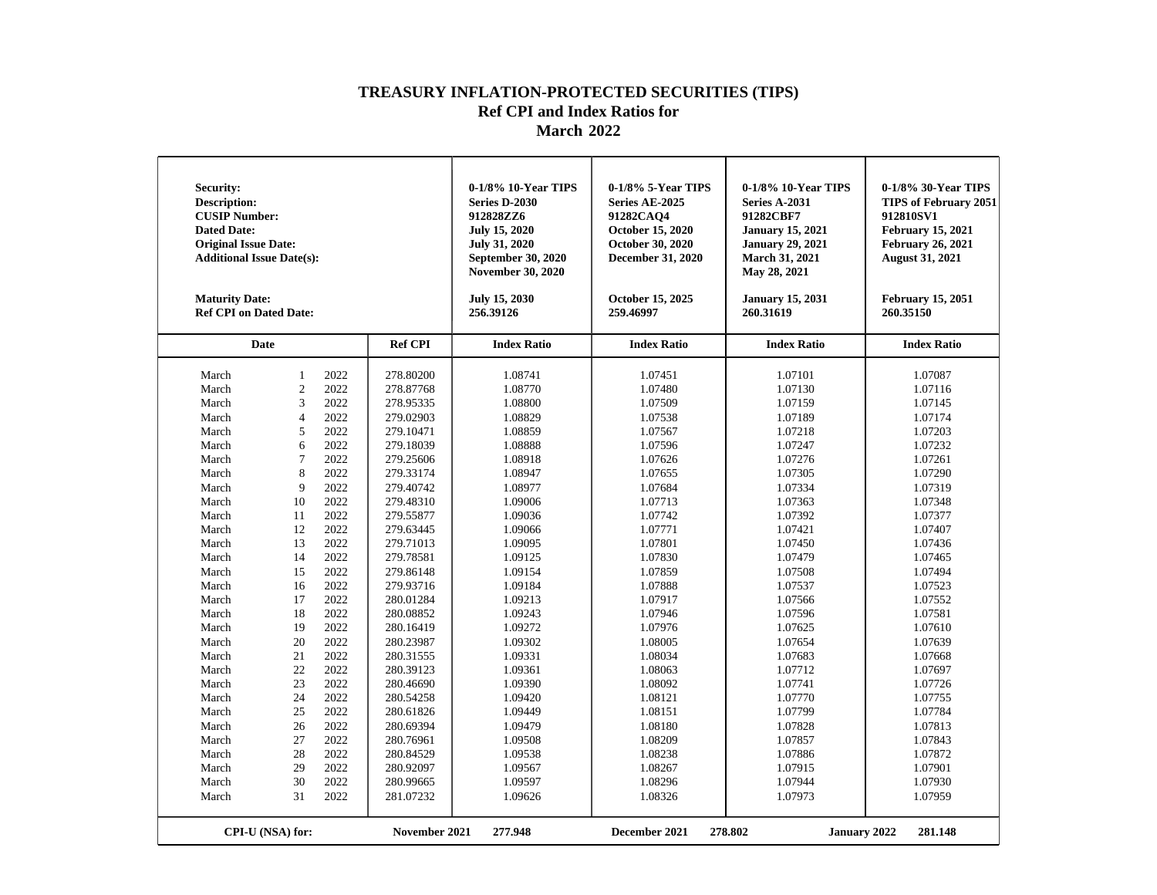| Security:<br><b>Description:</b><br><b>CUSIP Number:</b><br><b>Dated Date:</b><br><b>Original Issue Date:</b><br><b>Additional Issue Date(s):</b><br><b>Maturity Date:</b><br><b>Ref CPI on Dated Date:</b>                                                                                                                                                                                                                                                                                                                                                                                                                                                           |                                                                                                                                                                                                                                                                                                                                                             | 0-1/8% 10-Year TIPS<br><b>Series D-2030</b><br>912828ZZ6<br><b>July 15, 2020</b><br>July 31, 2020<br>September 30, 2020<br><b>November 30, 2020</b><br><b>July 15, 2030</b><br>256.39126                                                                                                              | 0-1/8% 5-Year TIPS<br>Series AE-2025<br>91282CAQ4<br>October 15, 2020<br>October 30, 2020<br><b>December 31, 2020</b><br>October 15, 2025<br>259.46997                                                                                                                                                | 0-1/8% 10-Year TIPS<br><b>Series A-2031</b><br>91282CBF7<br><b>January 15, 2021</b><br><b>January 29, 2021</b><br><b>March 31, 2021</b><br>May 28, 2021<br><b>January 15, 2031</b><br>260.31619                                                                                                       | 0-1/8% 30-Year TIPS<br><b>TIPS of February 2051</b><br>912810SV1<br><b>February 15, 2021</b><br><b>February 26, 2021</b><br><b>August 31, 2021</b><br><b>February 15, 2051</b><br>260.35150                                                                                                           |
|-----------------------------------------------------------------------------------------------------------------------------------------------------------------------------------------------------------------------------------------------------------------------------------------------------------------------------------------------------------------------------------------------------------------------------------------------------------------------------------------------------------------------------------------------------------------------------------------------------------------------------------------------------------------------|-------------------------------------------------------------------------------------------------------------------------------------------------------------------------------------------------------------------------------------------------------------------------------------------------------------------------------------------------------------|-------------------------------------------------------------------------------------------------------------------------------------------------------------------------------------------------------------------------------------------------------------------------------------------------------|-------------------------------------------------------------------------------------------------------------------------------------------------------------------------------------------------------------------------------------------------------------------------------------------------------|-------------------------------------------------------------------------------------------------------------------------------------------------------------------------------------------------------------------------------------------------------------------------------------------------------|-------------------------------------------------------------------------------------------------------------------------------------------------------------------------------------------------------------------------------------------------------------------------------------------------------|
| Date                                                                                                                                                                                                                                                                                                                                                                                                                                                                                                                                                                                                                                                                  | <b>Ref CPI</b>                                                                                                                                                                                                                                                                                                                                              | <b>Index Ratio</b>                                                                                                                                                                                                                                                                                    | <b>Index Ratio</b>                                                                                                                                                                                                                                                                                    | <b>Index Ratio</b>                                                                                                                                                                                                                                                                                    | <b>Index Ratio</b>                                                                                                                                                                                                                                                                                    |
| 2022<br>$\mathbf{1}$<br>March<br>$\overline{c}$<br>2022<br>March<br>$\overline{3}$<br>2022<br>March<br>2022<br>March<br>4<br>5<br>2022<br>March<br>2022<br>March<br>6<br>March<br>7<br>2022<br>8<br>2022<br>March<br>9<br>2022<br>March<br>10<br>2022<br>March<br>2022<br>March<br>11<br>2022<br>March<br>12<br>13<br>2022<br>March<br>2022<br>March<br>14<br>2022<br>15<br>March<br>2022<br>March<br>16<br>2022<br>March<br>17<br>2022<br>March<br>18<br>2022<br>19<br>March<br>20<br>2022<br>March<br>2022<br>March<br>21<br>2022<br>22<br>March<br>2022<br>March<br>23<br>2022<br>March<br>24<br>2022<br>March<br>25<br>2022<br>March<br>26<br>2022<br>March<br>27 | 278.80200<br>278.87768<br>278.95335<br>279.02903<br>279.10471<br>279.18039<br>279.25606<br>279.33174<br>279.40742<br>279.48310<br>279.55877<br>279.63445<br>279.71013<br>279.78581<br>279.86148<br>279.93716<br>280.01284<br>280.08852<br>280.16419<br>280.23987<br>280.31555<br>280.39123<br>280.46690<br>280.54258<br>280.61826<br>280.69394<br>280.76961 | 1.08741<br>1.08770<br>1.08800<br>1.08829<br>1.08859<br>1.08888<br>1.08918<br>1.08947<br>1.08977<br>1.09006<br>1.09036<br>1.09066<br>1.09095<br>1.09125<br>1.09154<br>1.09184<br>1.09213<br>1.09243<br>1.09272<br>1.09302<br>1.09331<br>1.09361<br>1.09390<br>1.09420<br>1.09449<br>1.09479<br>1.09508 | 1.07451<br>1.07480<br>1.07509<br>1.07538<br>1.07567<br>1.07596<br>1.07626<br>1.07655<br>1.07684<br>1.07713<br>1.07742<br>1.07771<br>1.07801<br>1.07830<br>1.07859<br>1.07888<br>1.07917<br>1.07946<br>1.07976<br>1.08005<br>1.08034<br>1.08063<br>1.08092<br>1.08121<br>1.08151<br>1.08180<br>1.08209 | 1.07101<br>1.07130<br>1.07159<br>1.07189<br>1.07218<br>1.07247<br>1.07276<br>1.07305<br>1.07334<br>1.07363<br>1.07392<br>1.07421<br>1.07450<br>1.07479<br>1.07508<br>1.07537<br>1.07566<br>1.07596<br>1.07625<br>1.07654<br>1.07683<br>1.07712<br>1.07741<br>1.07770<br>1.07799<br>1.07828<br>1.07857 | 1.07087<br>1.07116<br>1.07145<br>1.07174<br>1.07203<br>1.07232<br>1.07261<br>1.07290<br>1.07319<br>1.07348<br>1.07377<br>1.07407<br>1.07436<br>1.07465<br>1.07494<br>1.07523<br>1.07552<br>1.07581<br>1.07610<br>1.07639<br>1.07668<br>1.07697<br>1.07726<br>1.07755<br>1.07784<br>1.07813<br>1.07843 |
| 2022<br>March<br>28<br>2022<br>March<br>29<br>2022<br>30<br>March<br>31<br>2022<br>March<br>CPI-U (NSA) for:                                                                                                                                                                                                                                                                                                                                                                                                                                                                                                                                                          | 280.84529<br>280.92097<br>280.99665<br>281.07232<br>November 2021                                                                                                                                                                                                                                                                                           | 1.09538<br>1.09567<br>1.09597<br>1.09626<br>277.948                                                                                                                                                                                                                                                   | 1.08238<br>1.08267<br>1.08296<br>1.08326<br>December 2021                                                                                                                                                                                                                                             | 1.07886<br>1.07915<br>1.07944<br>1.07973<br>278.802<br><b>January 2022</b>                                                                                                                                                                                                                            | 1.07872<br>1.07901<br>1.07930<br>1.07959<br>281.148                                                                                                                                                                                                                                                   |